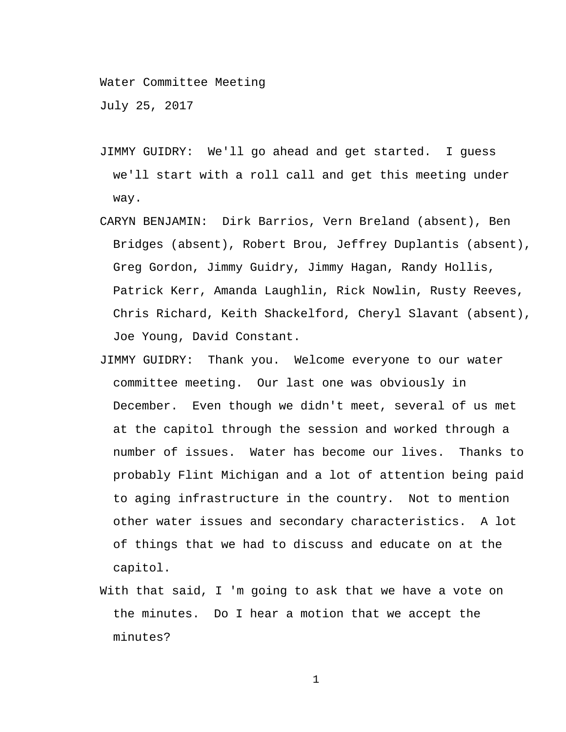Water Committee Meeting

July 25, 2017

- JIMMY GUIDRY: We'll go ahead and get started. I guess we'll start with a roll call and get this meeting under way.
- CARYN BENJAMIN: Dirk Barrios, Vern Breland (absent), Ben Bridges (absent), Robert Brou, Jeffrey Duplantis (absent), Greg Gordon, Jimmy Guidry, Jimmy Hagan, Randy Hollis, Patrick Kerr, Amanda Laughlin, Rick Nowlin, Rusty Reeves, Chris Richard, Keith Shackelford, Cheryl Slavant (absent), Joe Young, David Constant.
- JIMMY GUIDRY: Thank you. Welcome everyone to our water committee meeting. Our last one was obviously in December. Even though we didn't meet, several of us met at the capitol through the session and worked through a number of issues. Water has become our lives. Thanks to probably Flint Michigan and a lot of attention being paid to aging infrastructure in the country. Not to mention other water issues and secondary characteristics. A lot of things that we had to discuss and educate on at the capitol.
- With that said, I 'm going to ask that we have a vote on the minutes. Do I hear a motion that we accept the minutes?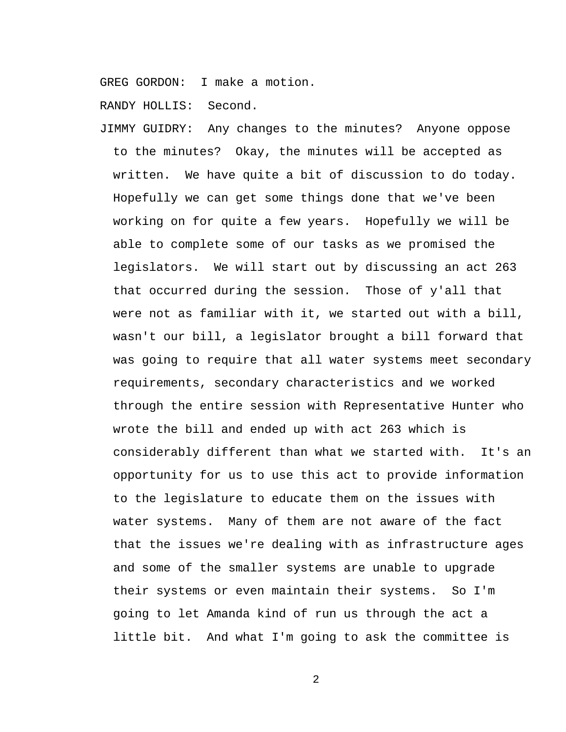GREG GORDON: I make a motion.

RANDY HOLLIS: Second.

JIMMY GUIDRY: Any changes to the minutes? Anyone oppose to the minutes? Okay, the minutes will be accepted as written. We have quite a bit of discussion to do today. Hopefully we can get some things done that we've been working on for quite a few years. Hopefully we will be able to complete some of our tasks as we promised the legislators. We will start out by discussing an act 263 that occurred during the session. Those of y'all that were not as familiar with it, we started out with a bill, wasn't our bill, a legislator brought a bill forward that was going to require that all water systems meet secondary requirements, secondary characteristics and we worked through the entire session with Representative Hunter who wrote the bill and ended up with act 263 which is considerably different than what we started with. It's an opportunity for us to use this act to provide information to the legislature to educate them on the issues with water systems. Many of them are not aware of the fact that the issues we're dealing with as infrastructure ages and some of the smaller systems are unable to upgrade their systems or even maintain their systems. So I'm going to let Amanda kind of run us through the act a little bit. And what I'm going to ask the committee is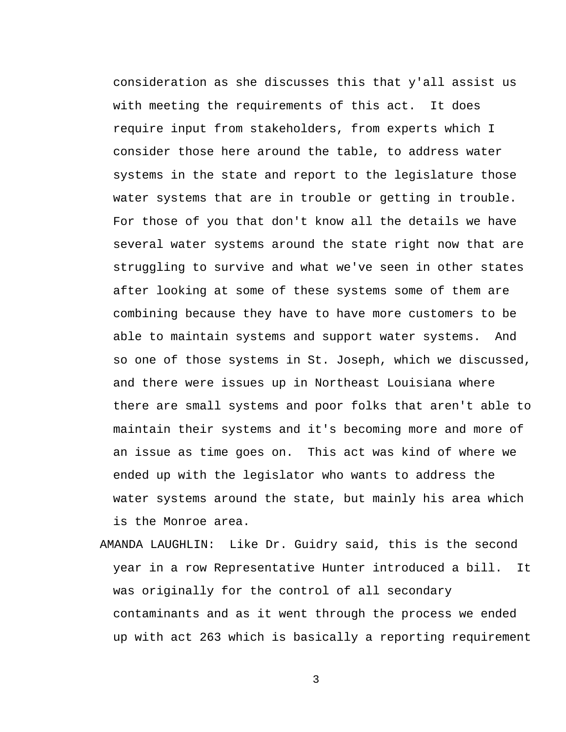consideration as she discusses this that y'all assist us with meeting the requirements of this act. It does require input from stakeholders, from experts which I consider those here around the table, to address water systems in the state and report to the legislature those water systems that are in trouble or getting in trouble. For those of you that don't know all the details we have several water systems around the state right now that are struggling to survive and what we've seen in other states after looking at some of these systems some of them are combining because they have to have more customers to be able to maintain systems and support water systems. And so one of those systems in St. Joseph, which we discussed, and there were issues up in Northeast Louisiana where there are small systems and poor folks that aren't able to maintain their systems and it's becoming more and more of an issue as time goes on. This act was kind of where we ended up with the legislator who wants to address the water systems around the state, but mainly his area which is the Monroe area.

AMANDA LAUGHLIN: Like Dr. Guidry said, this is the second year in a row Representative Hunter introduced a bill. It was originally for the control of all secondary contaminants and as it went through the process we ended up with act 263 which is basically a reporting requirement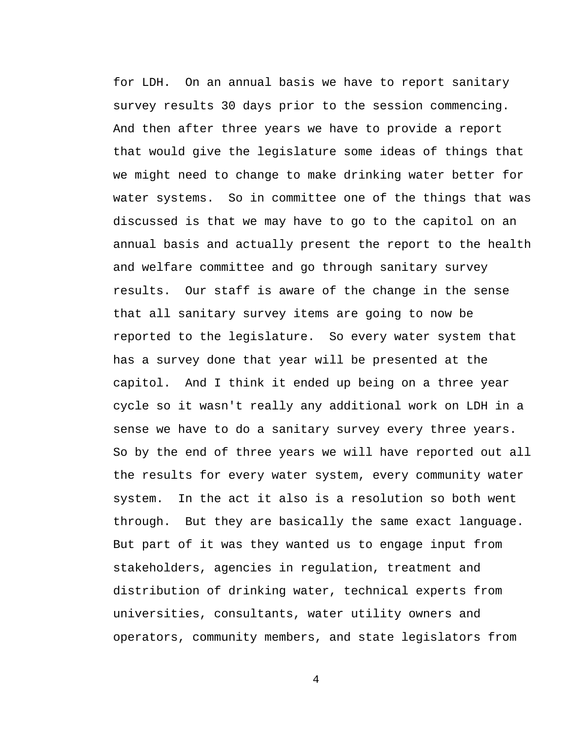for LDH. On an annual basis we have to report sanitary survey results 30 days prior to the session commencing. And then after three years we have to provide a report that would give the legislature some ideas of things that we might need to change to make drinking water better for water systems. So in committee one of the things that was discussed is that we may have to go to the capitol on an annual basis and actually present the report to the health and welfare committee and go through sanitary survey results. Our staff is aware of the change in the sense that all sanitary survey items are going to now be reported to the legislature. So every water system that has a survey done that year will be presented at the capitol. And I think it ended up being on a three year cycle so it wasn't really any additional work on LDH in a sense we have to do a sanitary survey every three years. So by the end of three years we will have reported out all the results for every water system, every community water system. In the act it also is a resolution so both went through. But they are basically the same exact language. But part of it was they wanted us to engage input from stakeholders, agencies in regulation, treatment and distribution of drinking water, technical experts from universities, consultants, water utility owners and operators, community members, and state legislators from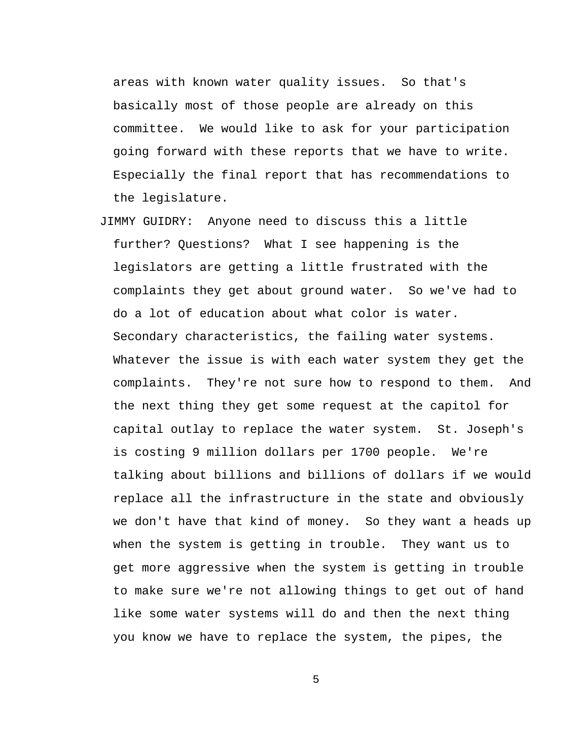areas with known water quality issues. So that's basically most of those people are already on this committee. We would like to ask for your participation going forward with these reports that we have to write. Especially the final report that has recommendations to the legislature.

JIMMY GUIDRY: Anyone need to discuss this a little further? Questions? What I see happening is the legislators are getting a little frustrated with the complaints they get about ground water. So we've had to do a lot of education about what color is water. Secondary characteristics, the failing water systems. Whatever the issue is with each water system they get the complaints. They're not sure how to respond to them. And the next thing they get some request at the capitol for capital outlay to replace the water system. St. Joseph's is costing 9 million dollars per 1700 people. We're talking about billions and billions of dollars if we would replace all the infrastructure in the state and obviously we don't have that kind of money. So they want a heads up when the system is getting in trouble. They want us to get more aggressive when the system is getting in trouble to make sure we're not allowing things to get out of hand like some water systems will do and then the next thing you know we have to replace the system, the pipes, the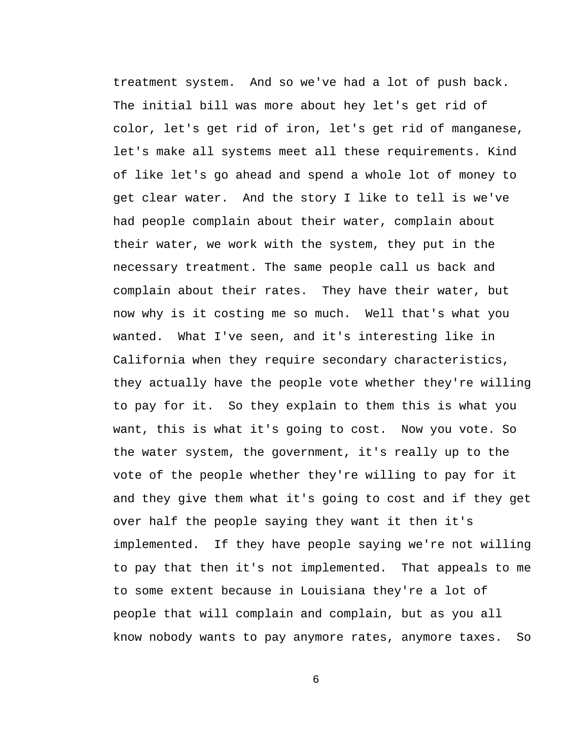treatment system. And so we've had a lot of push back. The initial bill was more about hey let's get rid of color, let's get rid of iron, let's get rid of manganese, let's make all systems meet all these requirements. Kind of like let's go ahead and spend a whole lot of money to get clear water. And the story I like to tell is we've had people complain about their water, complain about their water, we work with the system, they put in the necessary treatment. The same people call us back and complain about their rates. They have their water, but now why is it costing me so much. Well that's what you wanted. What I've seen, and it's interesting like in California when they require secondary characteristics, they actually have the people vote whether they're willing to pay for it. So they explain to them this is what you want, this is what it's going to cost. Now you vote. So the water system, the government, it's really up to the vote of the people whether they're willing to pay for it and they give them what it's going to cost and if they get over half the people saying they want it then it's implemented. If they have people saying we're not willing to pay that then it's not implemented. That appeals to me to some extent because in Louisiana they're a lot of people that will complain and complain, but as you all know nobody wants to pay anymore rates, anymore taxes. So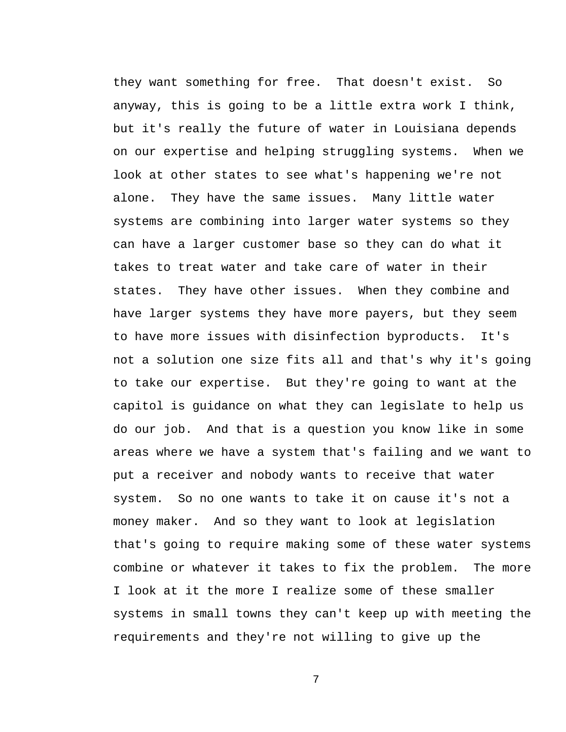they want something for free. That doesn't exist. So anyway, this is going to be a little extra work I think, but it's really the future of water in Louisiana depends on our expertise and helping struggling systems. When we look at other states to see what's happening we're not alone. They have the same issues. Many little water systems are combining into larger water systems so they can have a larger customer base so they can do what it takes to treat water and take care of water in their states. They have other issues. When they combine and have larger systems they have more payers, but they seem to have more issues with disinfection byproducts. It's not a solution one size fits all and that's why it's going to take our expertise. But they're going to want at the capitol is guidance on what they can legislate to help us do our job. And that is a question you know like in some areas where we have a system that's failing and we want to put a receiver and nobody wants to receive that water system. So no one wants to take it on cause it's not a money maker. And so they want to look at legislation that's going to require making some of these water systems combine or whatever it takes to fix the problem. The more I look at it the more I realize some of these smaller systems in small towns they can't keep up with meeting the requirements and they're not willing to give up the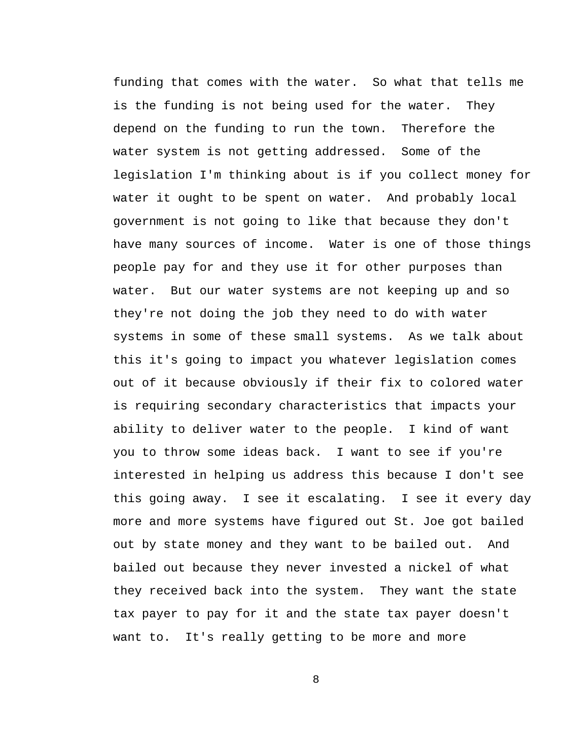funding that comes with the water. So what that tells me is the funding is not being used for the water. They depend on the funding to run the town. Therefore the water system is not getting addressed. Some of the legislation I'm thinking about is if you collect money for water it ought to be spent on water. And probably local government is not going to like that because they don't have many sources of income. Water is one of those things people pay for and they use it for other purposes than water. But our water systems are not keeping up and so they're not doing the job they need to do with water systems in some of these small systems. As we talk about this it's going to impact you whatever legislation comes out of it because obviously if their fix to colored water is requiring secondary characteristics that impacts your ability to deliver water to the people. I kind of want you to throw some ideas back. I want to see if you're interested in helping us address this because I don't see this going away. I see it escalating. I see it every day more and more systems have figured out St. Joe got bailed out by state money and they want to be bailed out. And bailed out because they never invested a nickel of what they received back into the system. They want the state tax payer to pay for it and the state tax payer doesn't want to. It's really getting to be more and more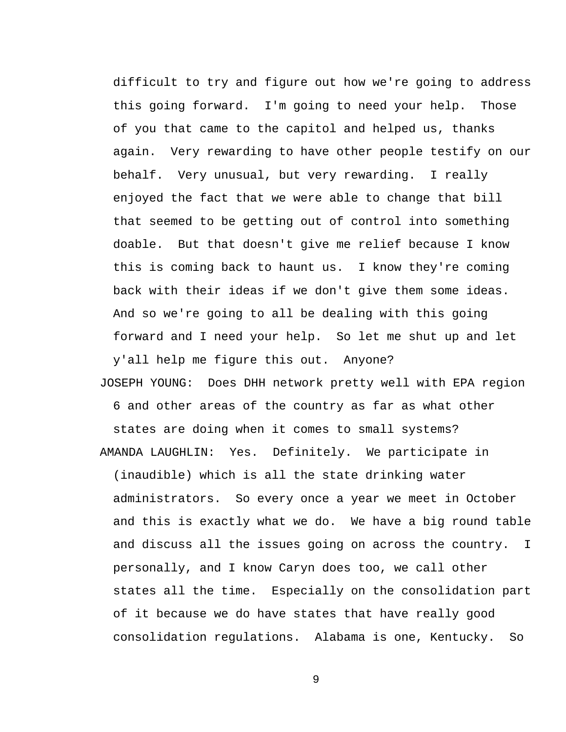difficult to try and figure out how we're going to address this going forward. I'm going to need your help. Those of you that came to the capitol and helped us, thanks again. Very rewarding to have other people testify on our behalf. Very unusual, but very rewarding. I really enjoyed the fact that we were able to change that bill that seemed to be getting out of control into something doable. But that doesn't give me relief because I know this is coming back to haunt us. I know they're coming back with their ideas if we don't give them some ideas. And so we're going to all be dealing with this going forward and I need your help. So let me shut up and let y'all help me figure this out. Anyone?

JOSEPH YOUNG: Does DHH network pretty well with EPA region 6 and other areas of the country as far as what other states are doing when it comes to small systems? AMANDA LAUGHLIN: Yes. Definitely. We participate in (inaudible) which is all the state drinking water administrators. So every once a year we meet in October and this is exactly what we do. We have a big round table and discuss all the issues going on across the country. I personally, and I know Caryn does too, we call other states all the time. Especially on the consolidation part of it because we do have states that have really good consolidation regulations. Alabama is one, Kentucky. So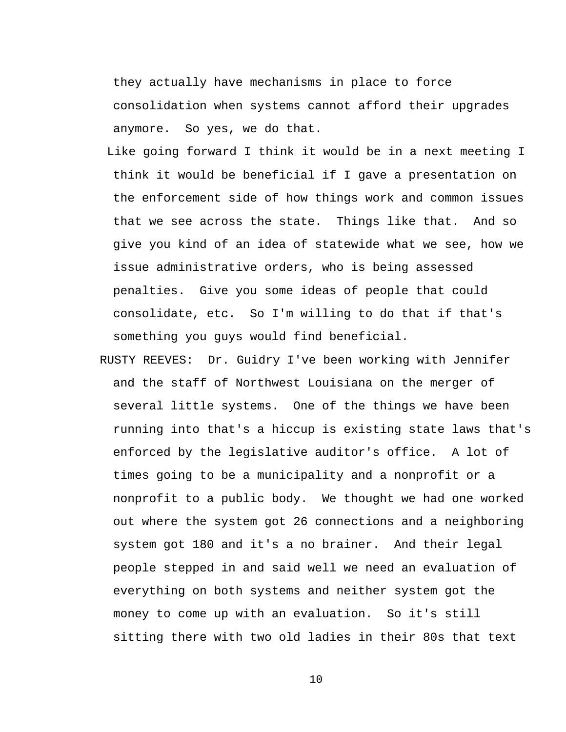they actually have mechanisms in place to force consolidation when systems cannot afford their upgrades anymore. So yes, we do that.

- Like going forward I think it would be in a next meeting I think it would be beneficial if I gave a presentation on the enforcement side of how things work and common issues that we see across the state. Things like that. And so give you kind of an idea of statewide what we see, how we issue administrative orders, who is being assessed penalties. Give you some ideas of people that could consolidate, etc. So I'm willing to do that if that's something you guys would find beneficial.
- RUSTY REEVES: Dr. Guidry I've been working with Jennifer and the staff of Northwest Louisiana on the merger of several little systems. One of the things we have been running into that's a hiccup is existing state laws that's enforced by the legislative auditor's office. A lot of times going to be a municipality and a nonprofit or a nonprofit to a public body. We thought we had one worked out where the system got 26 connections and a neighboring system got 180 and it's a no brainer. And their legal people stepped in and said well we need an evaluation of everything on both systems and neither system got the money to come up with an evaluation. So it's still sitting there with two old ladies in their 80s that text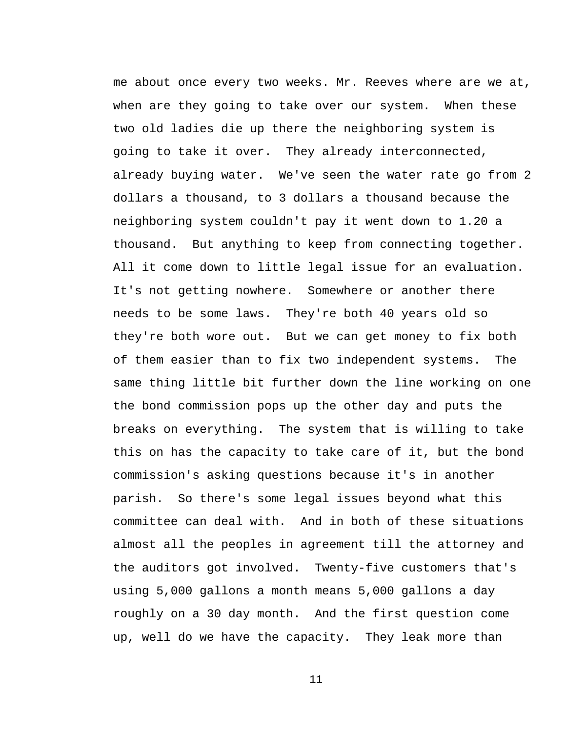me about once every two weeks. Mr. Reeves where are we at, when are they going to take over our system. When these two old ladies die up there the neighboring system is going to take it over. They already interconnected, already buying water. We've seen the water rate go from 2 dollars a thousand, to 3 dollars a thousand because the neighboring system couldn't pay it went down to 1.20 a thousand. But anything to keep from connecting together. All it come down to little legal issue for an evaluation. It's not getting nowhere. Somewhere or another there needs to be some laws. They're both 40 years old so they're both wore out. But we can get money to fix both of them easier than to fix two independent systems. The same thing little bit further down the line working on one the bond commission pops up the other day and puts the breaks on everything. The system that is willing to take this on has the capacity to take care of it, but the bond commission's asking questions because it's in another parish. So there's some legal issues beyond what this committee can deal with. And in both of these situations almost all the peoples in agreement till the attorney and the auditors got involved. Twenty-five customers that's using 5,000 gallons a month means 5,000 gallons a day roughly on a 30 day month. And the first question come up, well do we have the capacity. They leak more than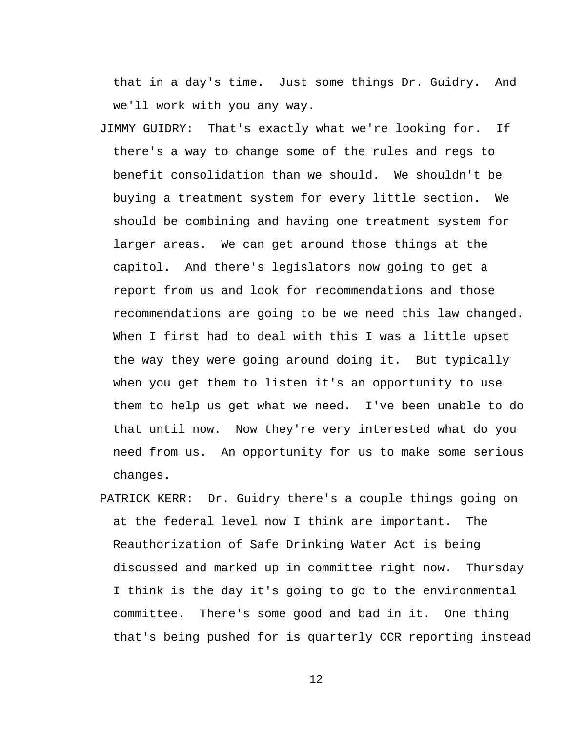that in a day's time. Just some things Dr. Guidry. And we'll work with you any way.

- JIMMY GUIDRY: That's exactly what we're looking for. If there's a way to change some of the rules and regs to benefit consolidation than we should. We shouldn't be buying a treatment system for every little section. We should be combining and having one treatment system for larger areas. We can get around those things at the capitol. And there's legislators now going to get a report from us and look for recommendations and those recommendations are going to be we need this law changed. When I first had to deal with this I was a little upset the way they were going around doing it. But typically when you get them to listen it's an opportunity to use them to help us get what we need. I've been unable to do that until now. Now they're very interested what do you need from us. An opportunity for us to make some serious changes.
- PATRICK KERR: Dr. Guidry there's a couple things going on at the federal level now I think are important. The Reauthorization of Safe Drinking Water Act is being discussed and marked up in committee right now. Thursday I think is the day it's going to go to the environmental committee. There's some good and bad in it. One thing that's being pushed for is quarterly CCR reporting instead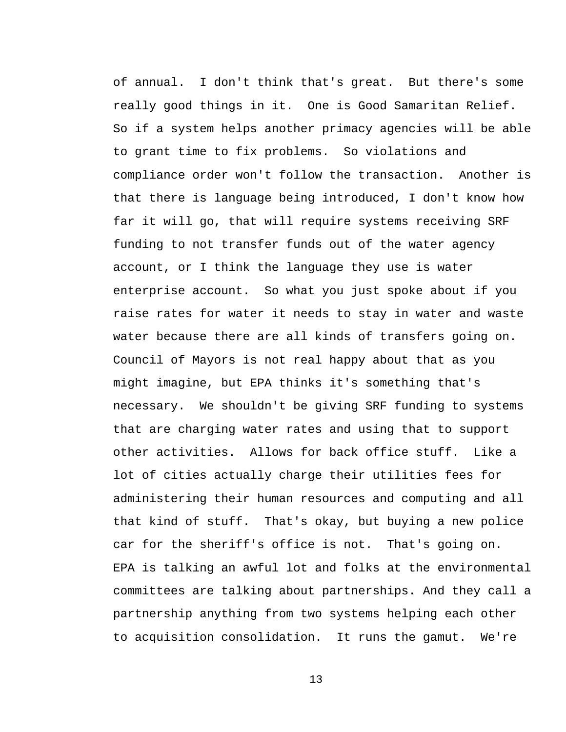of annual. I don't think that's great. But there's some really good things in it. One is Good Samaritan Relief. So if a system helps another primacy agencies will be able to grant time to fix problems. So violations and compliance order won't follow the transaction. Another is that there is language being introduced, I don't know how far it will go, that will require systems receiving SRF funding to not transfer funds out of the water agency account, or I think the language they use is water enterprise account. So what you just spoke about if you raise rates for water it needs to stay in water and waste water because there are all kinds of transfers going on. Council of Mayors is not real happy about that as you might imagine, but EPA thinks it's something that's necessary. We shouldn't be giving SRF funding to systems that are charging water rates and using that to support other activities. Allows for back office stuff. Like a lot of cities actually charge their utilities fees for administering their human resources and computing and all that kind of stuff. That's okay, but buying a new police car for the sheriff's office is not. That's going on. EPA is talking an awful lot and folks at the environmental committees are talking about partnerships. And they call a partnership anything from two systems helping each other to acquisition consolidation. It runs the gamut. We're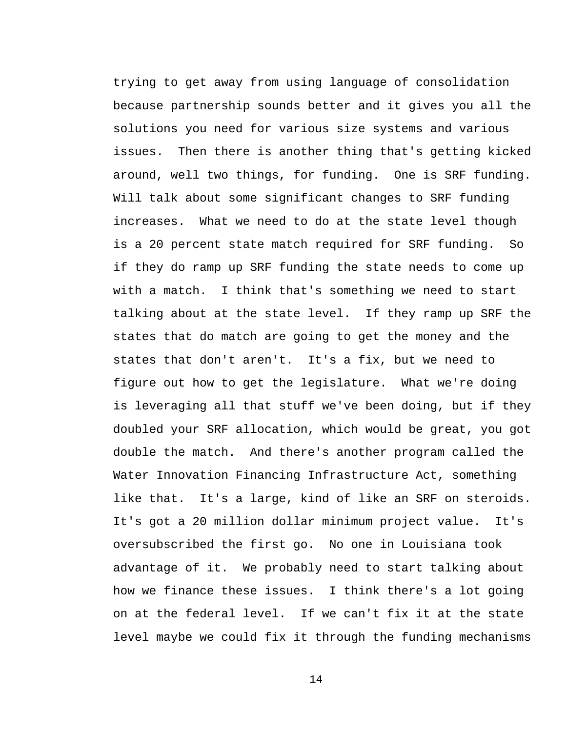trying to get away from using language of consolidation because partnership sounds better and it gives you all the solutions you need for various size systems and various issues. Then there is another thing that's getting kicked around, well two things, for funding. One is SRF funding. Will talk about some significant changes to SRF funding increases. What we need to do at the state level though is a 20 percent state match required for SRF funding. So if they do ramp up SRF funding the state needs to come up with a match. I think that's something we need to start talking about at the state level. If they ramp up SRF the states that do match are going to get the money and the states that don't aren't. It's a fix, but we need to figure out how to get the legislature. What we're doing is leveraging all that stuff we've been doing, but if they doubled your SRF allocation, which would be great, you got double the match. And there's another program called the Water Innovation Financing Infrastructure Act, something like that. It's a large, kind of like an SRF on steroids. It's got a 20 million dollar minimum project value. It's oversubscribed the first go. No one in Louisiana took advantage of it. We probably need to start talking about how we finance these issues. I think there's a lot going on at the federal level. If we can't fix it at the state level maybe we could fix it through the funding mechanisms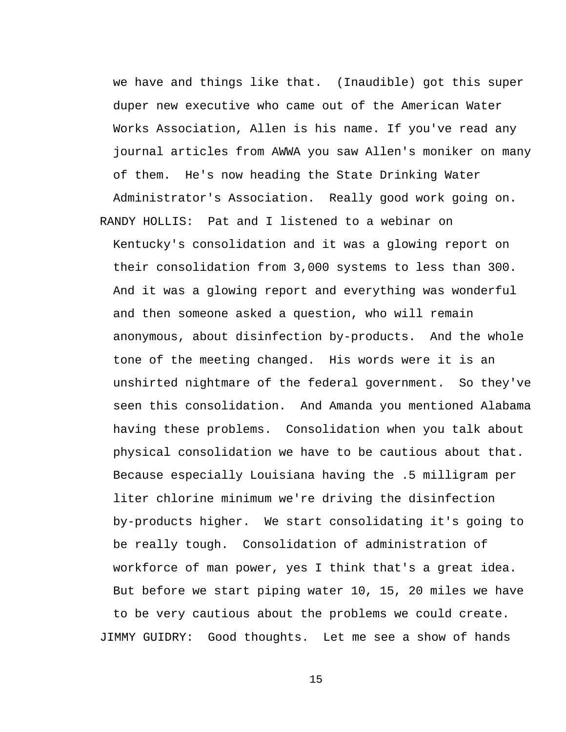we have and things like that. (Inaudible) got this super duper new executive who came out of the American Water Works Association, Allen is his name. If you've read any journal articles from AWWA you saw Allen's moniker on many of them. He's now heading the State Drinking Water Administrator's Association. Really good work going on.

RANDY HOLLIS: Pat and I listened to a webinar on Kentucky's consolidation and it was a glowing report on their consolidation from 3,000 systems to less than 300. And it was a glowing report and everything was wonderful and then someone asked a question, who will remain anonymous, about disinfection by-products. And the whole tone of the meeting changed. His words were it is an unshirted nightmare of the federal government. So they've seen this consolidation. And Amanda you mentioned Alabama having these problems. Consolidation when you talk about physical consolidation we have to be cautious about that. Because especially Louisiana having the .5 milligram per liter chlorine minimum we're driving the disinfection by-products higher. We start consolidating it's going to be really tough. Consolidation of administration of workforce of man power, yes I think that's a great idea. But before we start piping water 10, 15, 20 miles we have to be very cautious about the problems we could create. JIMMY GUIDRY: Good thoughts. Let me see a show of hands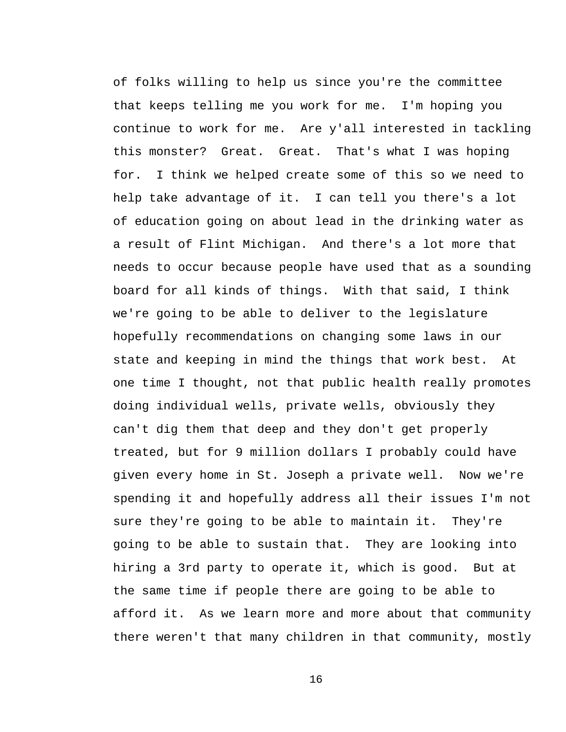of folks willing to help us since you're the committee that keeps telling me you work for me. I'm hoping you continue to work for me. Are y'all interested in tackling this monster? Great. Great. That's what I was hoping for. I think we helped create some of this so we need to help take advantage of it. I can tell you there's a lot of education going on about lead in the drinking water as a result of Flint Michigan. And there's a lot more that needs to occur because people have used that as a sounding board for all kinds of things. With that said, I think we're going to be able to deliver to the legislature hopefully recommendations on changing some laws in our state and keeping in mind the things that work best. At one time I thought, not that public health really promotes doing individual wells, private wells, obviously they can't dig them that deep and they don't get properly treated, but for 9 million dollars I probably could have given every home in St. Joseph a private well. Now we're spending it and hopefully address all their issues I'm not sure they're going to be able to maintain it. They're going to be able to sustain that. They are looking into hiring a 3rd party to operate it, which is good. But at the same time if people there are going to be able to afford it. As we learn more and more about that community there weren't that many children in that community, mostly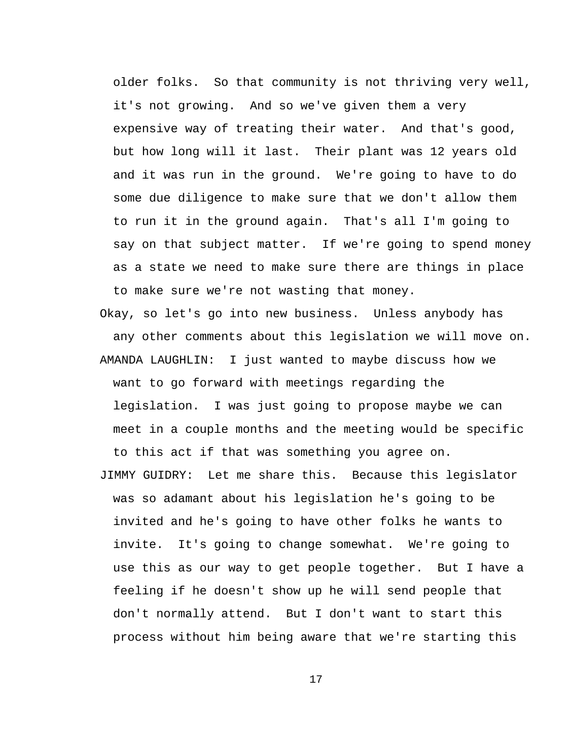older folks. So that community is not thriving very well, it's not growing. And so we've given them a very expensive way of treating their water. And that's good, but how long will it last. Their plant was 12 years old and it was run in the ground. We're going to have to do some due diligence to make sure that we don't allow them to run it in the ground again. That's all I'm going to say on that subject matter. If we're going to spend money as a state we need to make sure there are things in place to make sure we're not wasting that money.

Okay, so let's go into new business. Unless anybody has any other comments about this legislation we will move on. AMANDA LAUGHLIN: I just wanted to maybe discuss how we want to go forward with meetings regarding the legislation. I was just going to propose maybe we can meet in a couple months and the meeting would be specific to this act if that was something you agree on.

JIMMY GUIDRY: Let me share this. Because this legislator was so adamant about his legislation he's going to be invited and he's going to have other folks he wants to invite. It's going to change somewhat. We're going to use this as our way to get people together. But I have a feeling if he doesn't show up he will send people that don't normally attend. But I don't want to start this process without him being aware that we're starting this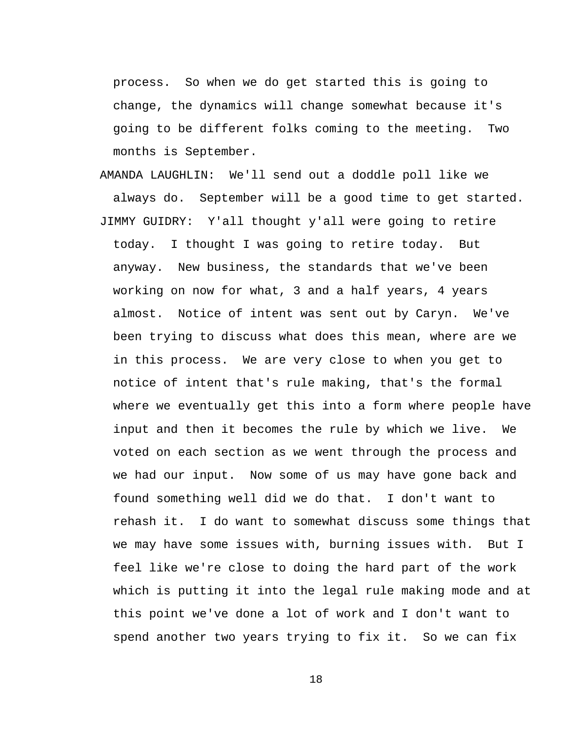process. So when we do get started this is going to change, the dynamics will change somewhat because it's going to be different folks coming to the meeting. Two months is September.

AMANDA LAUGHLIN: We'll send out a doddle poll like we always do. September will be a good time to get started. JIMMY GUIDRY: Y'all thought y'all were going to retire today. I thought I was going to retire today. But anyway. New business, the standards that we've been working on now for what, 3 and a half years, 4 years almost. Notice of intent was sent out by Caryn. We've been trying to discuss what does this mean, where are we in this process. We are very close to when you get to notice of intent that's rule making, that's the formal where we eventually get this into a form where people have input and then it becomes the rule by which we live. We voted on each section as we went through the process and we had our input. Now some of us may have gone back and found something well did we do that. I don't want to rehash it. I do want to somewhat discuss some things that we may have some issues with, burning issues with. But I feel like we're close to doing the hard part of the work which is putting it into the legal rule making mode and at this point we've done a lot of work and I don't want to spend another two years trying to fix it. So we can fix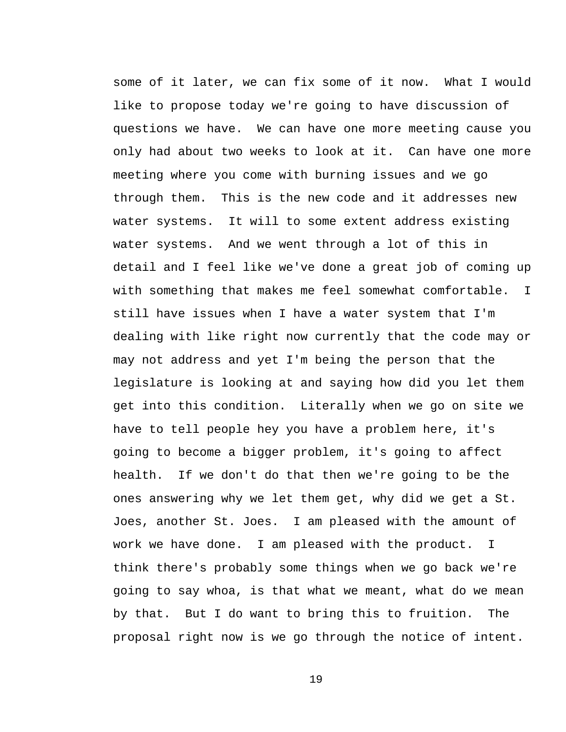some of it later, we can fix some of it now. What I would like to propose today we're going to have discussion of questions we have. We can have one more meeting cause you only had about two weeks to look at it. Can have one more meeting where you come with burning issues and we go through them. This is the new code and it addresses new water systems. It will to some extent address existing water systems. And we went through a lot of this in detail and I feel like we've done a great job of coming up with something that makes me feel somewhat comfortable. I still have issues when I have a water system that I'm dealing with like right now currently that the code may or may not address and yet I'm being the person that the legislature is looking at and saying how did you let them get into this condition. Literally when we go on site we have to tell people hey you have a problem here, it's going to become a bigger problem, it's going to affect health. If we don't do that then we're going to be the ones answering why we let them get, why did we get a St. Joes, another St. Joes. I am pleased with the amount of work we have done. I am pleased with the product. I think there's probably some things when we go back we're going to say whoa, is that what we meant, what do we mean by that. But I do want to bring this to fruition. The proposal right now is we go through the notice of intent.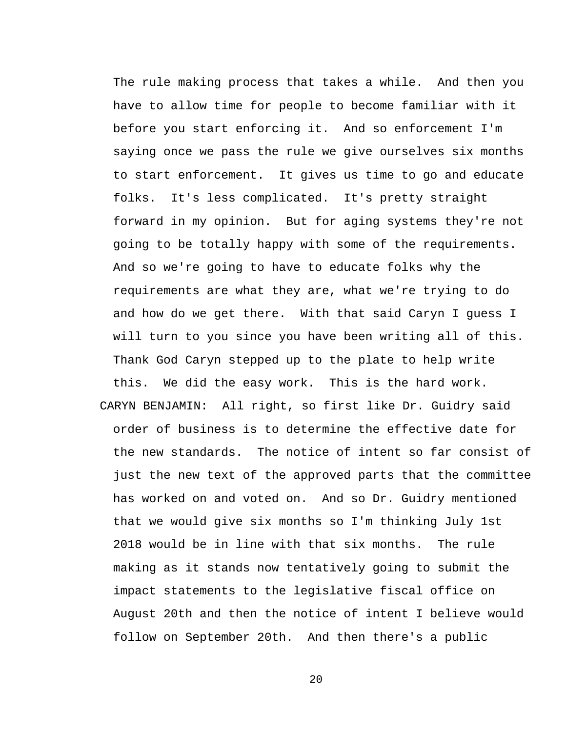The rule making process that takes a while. And then you have to allow time for people to become familiar with it before you start enforcing it. And so enforcement I'm saying once we pass the rule we give ourselves six months to start enforcement. It gives us time to go and educate folks. It's less complicated. It's pretty straight forward in my opinion. But for aging systems they're not going to be totally happy with some of the requirements. And so we're going to have to educate folks why the requirements are what they are, what we're trying to do and how do we get there. With that said Caryn I guess I will turn to you since you have been writing all of this. Thank God Caryn stepped up to the plate to help write this. We did the easy work. This is the hard work. CARYN BENJAMIN: All right, so first like Dr. Guidry said order of business is to determine the effective date for the new standards. The notice of intent so far consist of just the new text of the approved parts that the committee has worked on and voted on. And so Dr. Guidry mentioned that we would give six months so I'm thinking July 1st 2018 would be in line with that six months. The rule making as it stands now tentatively going to submit the impact statements to the legislative fiscal office on August 20th and then the notice of intent I believe would follow on September 20th. And then there's a public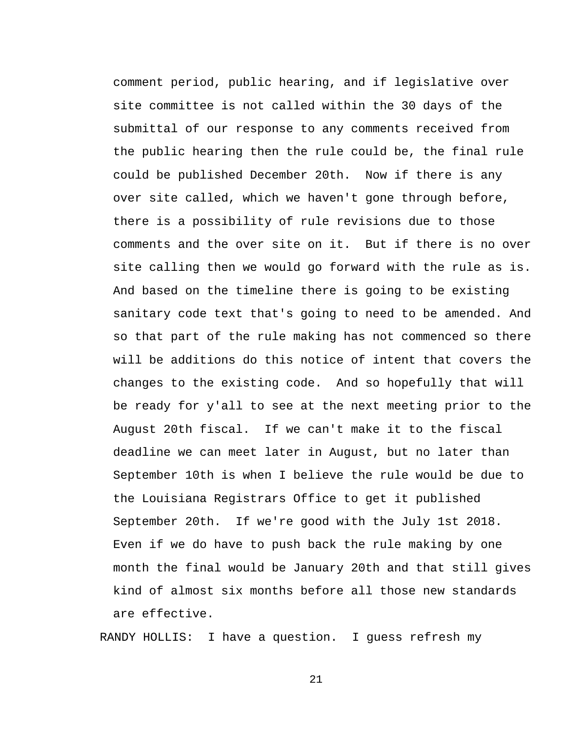comment period, public hearing, and if legislative over site committee is not called within the 30 days of the submittal of our response to any comments received from the public hearing then the rule could be, the final rule could be published December 20th. Now if there is any over site called, which we haven't gone through before, there is a possibility of rule revisions due to those comments and the over site on it. But if there is no over site calling then we would go forward with the rule as is. And based on the timeline there is going to be existing sanitary code text that's going to need to be amended. And so that part of the rule making has not commenced so there will be additions do this notice of intent that covers the changes to the existing code. And so hopefully that will be ready for y'all to see at the next meeting prior to the August 20th fiscal. If we can't make it to the fiscal deadline we can meet later in August, but no later than September 10th is when I believe the rule would be due to the Louisiana Registrars Office to get it published September 20th. If we're good with the July 1st 2018. Even if we do have to push back the rule making by one month the final would be January 20th and that still gives kind of almost six months before all those new standards are effective.

RANDY HOLLIS: I have a question. I guess refresh my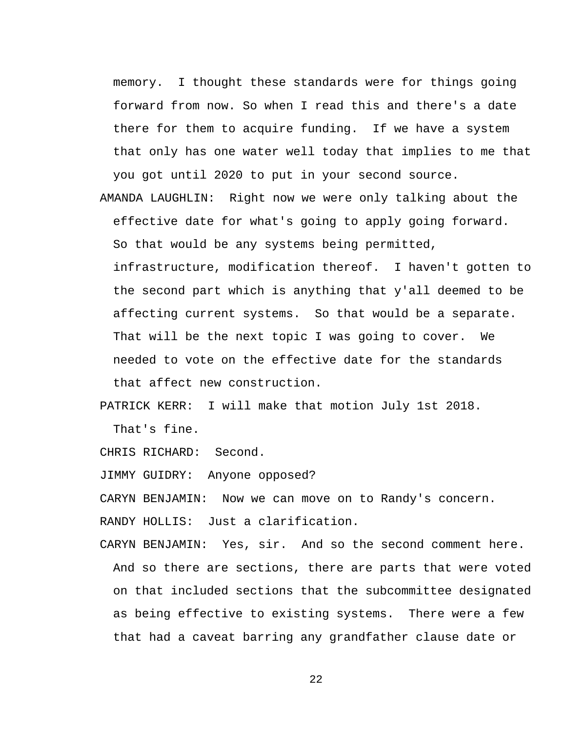memory. I thought these standards were for things going forward from now. So when I read this and there's a date there for them to acquire funding. If we have a system that only has one water well today that implies to me that you got until 2020 to put in your second source.

AMANDA LAUGHLIN: Right now we were only talking about the effective date for what's going to apply going forward. So that would be any systems being permitted,

infrastructure, modification thereof. I haven't gotten to the second part which is anything that y'all deemed to be affecting current systems. So that would be a separate. That will be the next topic I was going to cover. We needed to vote on the effective date for the standards that affect new construction.

PATRICK KERR: I will make that motion July 1st 2018.

That's fine.

CHRIS RICHARD: Second.

JIMMY GUIDRY: Anyone opposed?

CARYN BENJAMIN: Now we can move on to Randy's concern.

RANDY HOLLIS: Just a clarification.

CARYN BENJAMIN: Yes, sir. And so the second comment here. And so there are sections, there are parts that were voted on that included sections that the subcommittee designated as being effective to existing systems. There were a few that had a caveat barring any grandfather clause date or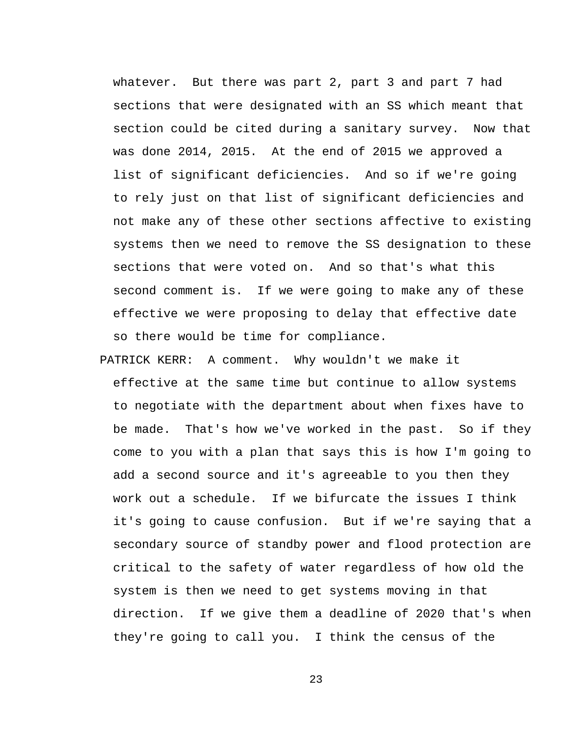whatever. But there was part 2, part 3 and part 7 had sections that were designated with an SS which meant that section could be cited during a sanitary survey. Now that was done 2014, 2015. At the end of 2015 we approved a list of significant deficiencies. And so if we're going to rely just on that list of significant deficiencies and not make any of these other sections affective to existing systems then we need to remove the SS designation to these sections that were voted on. And so that's what this second comment is. If we were going to make any of these effective we were proposing to delay that effective date so there would be time for compliance.

PATRICK KERR: A comment. Why wouldn't we make it effective at the same time but continue to allow systems to negotiate with the department about when fixes have to be made. That's how we've worked in the past. So if they come to you with a plan that says this is how I'm going to add a second source and it's agreeable to you then they work out a schedule. If we bifurcate the issues I think it's going to cause confusion. But if we're saying that a secondary source of standby power and flood protection are critical to the safety of water regardless of how old the system is then we need to get systems moving in that direction. If we give them a deadline of 2020 that's when they're going to call you. I think the census of the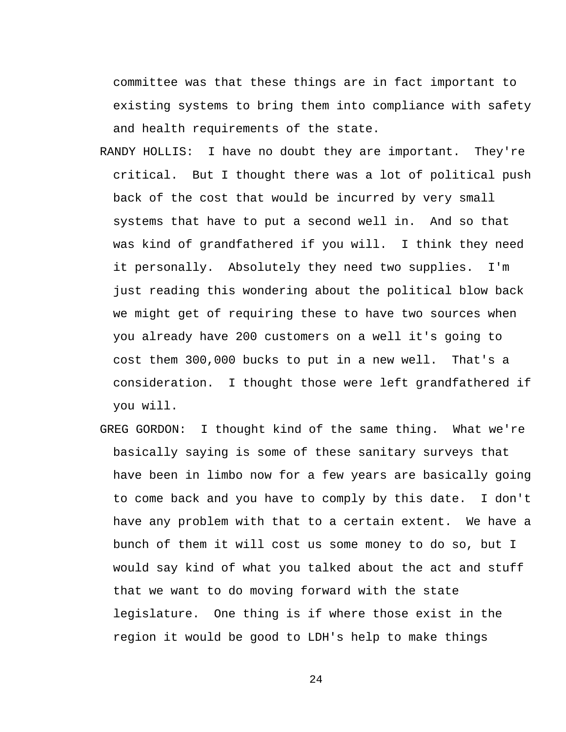committee was that these things are in fact important to existing systems to bring them into compliance with safety and health requirements of the state.

- RANDY HOLLIS: I have no doubt they are important. They're critical. But I thought there was a lot of political push back of the cost that would be incurred by very small systems that have to put a second well in. And so that was kind of grandfathered if you will. I think they need it personally. Absolutely they need two supplies. I'm just reading this wondering about the political blow back we might get of requiring these to have two sources when you already have 200 customers on a well it's going to cost them 300,000 bucks to put in a new well. That's a consideration. I thought those were left grandfathered if you will.
- GREG GORDON: I thought kind of the same thing. What we're basically saying is some of these sanitary surveys that have been in limbo now for a few years are basically going to come back and you have to comply by this date. I don't have any problem with that to a certain extent. We have a bunch of them it will cost us some money to do so, but I would say kind of what you talked about the act and stuff that we want to do moving forward with the state legislature. One thing is if where those exist in the region it would be good to LDH's help to make things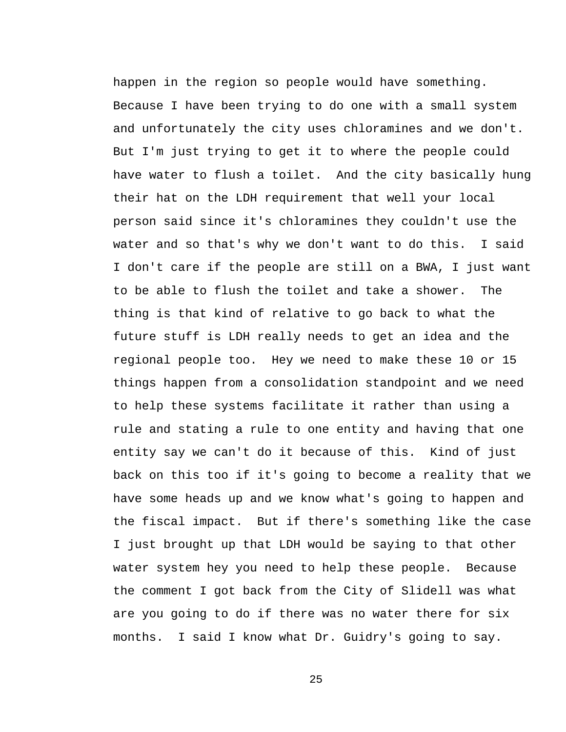happen in the region so people would have something. Because I have been trying to do one with a small system and unfortunately the city uses chloramines and we don't. But I'm just trying to get it to where the people could have water to flush a toilet. And the city basically hung their hat on the LDH requirement that well your local person said since it's chloramines they couldn't use the water and so that's why we don't want to do this. I said I don't care if the people are still on a BWA, I just want to be able to flush the toilet and take a shower. The thing is that kind of relative to go back to what the future stuff is LDH really needs to get an idea and the regional people too. Hey we need to make these 10 or 15 things happen from a consolidation standpoint and we need to help these systems facilitate it rather than using a rule and stating a rule to one entity and having that one entity say we can't do it because of this. Kind of just back on this too if it's going to become a reality that we have some heads up and we know what's going to happen and the fiscal impact. But if there's something like the case I just brought up that LDH would be saying to that other water system hey you need to help these people. Because the comment I got back from the City of Slidell was what are you going to do if there was no water there for six months. I said I know what Dr. Guidry's going to say.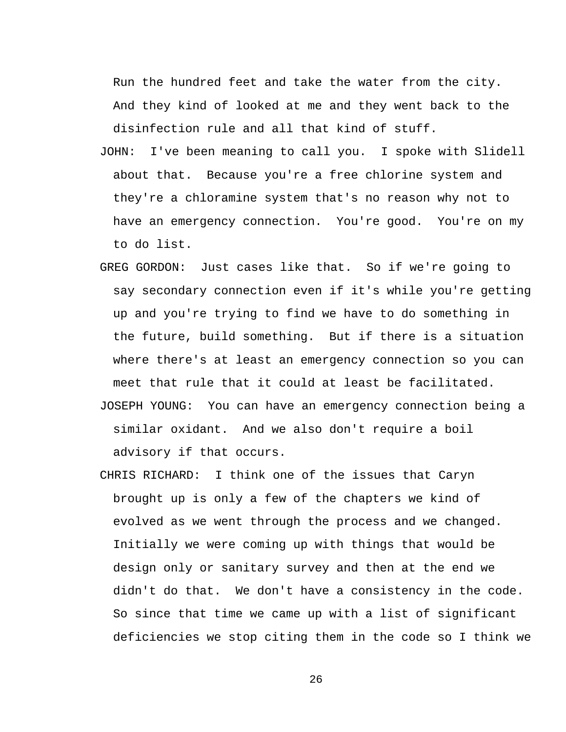Run the hundred feet and take the water from the city. And they kind of looked at me and they went back to the disinfection rule and all that kind of stuff.

- JOHN: I've been meaning to call you. I spoke with Slidell about that. Because you're a free chlorine system and they're a chloramine system that's no reason why not to have an emergency connection. You're good. You're on my to do list.
- GREG GORDON: Just cases like that. So if we're going to say secondary connection even if it's while you're getting up and you're trying to find we have to do something in the future, build something. But if there is a situation where there's at least an emergency connection so you can meet that rule that it could at least be facilitated.
- JOSEPH YOUNG: You can have an emergency connection being a similar oxidant. And we also don't require a boil advisory if that occurs.
- CHRIS RICHARD: I think one of the issues that Caryn brought up is only a few of the chapters we kind of evolved as we went through the process and we changed. Initially we were coming up with things that would be design only or sanitary survey and then at the end we didn't do that. We don't have a consistency in the code. So since that time we came up with a list of significant deficiencies we stop citing them in the code so I think we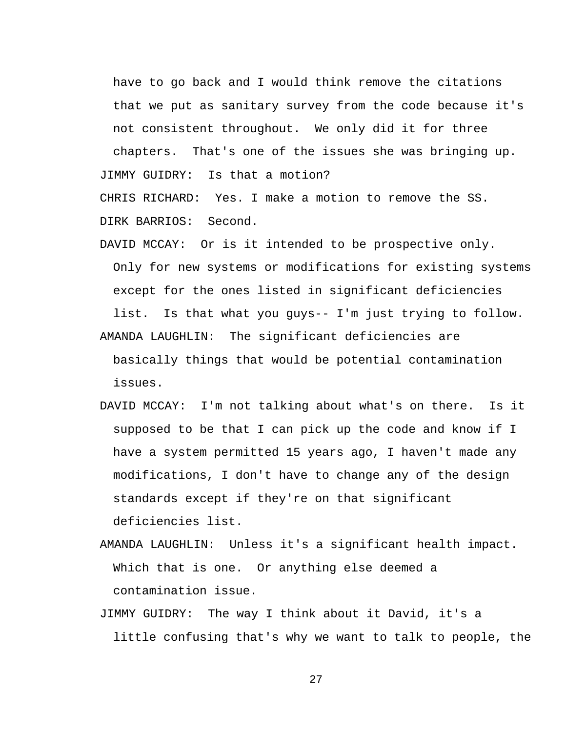have to go back and I would think remove the citations that we put as sanitary survey from the code because it's not consistent throughout. We only did it for three

chapters. That's one of the issues she was bringing up. JIMMY GUIDRY: Is that a motion?

CHRIS RICHARD: Yes. I make a motion to remove the SS. DIRK BARRIOS: Second.

DAVID MCCAY: Or is it intended to be prospective only. Only for new systems or modifications for existing systems except for the ones listed in significant deficiencies

list. Is that what you guys-- I'm just trying to follow. AMANDA LAUGHLIN: The significant deficiencies are

basically things that would be potential contamination issues.

- DAVID MCCAY: I'm not talking about what's on there. Is it supposed to be that I can pick up the code and know if I have a system permitted 15 years ago, I haven't made any modifications, I don't have to change any of the design standards except if they're on that significant deficiencies list.
- AMANDA LAUGHLIN: Unless it's a significant health impact. Which that is one. Or anything else deemed a contamination issue.
- JIMMY GUIDRY: The way I think about it David, it's a little confusing that's why we want to talk to people, the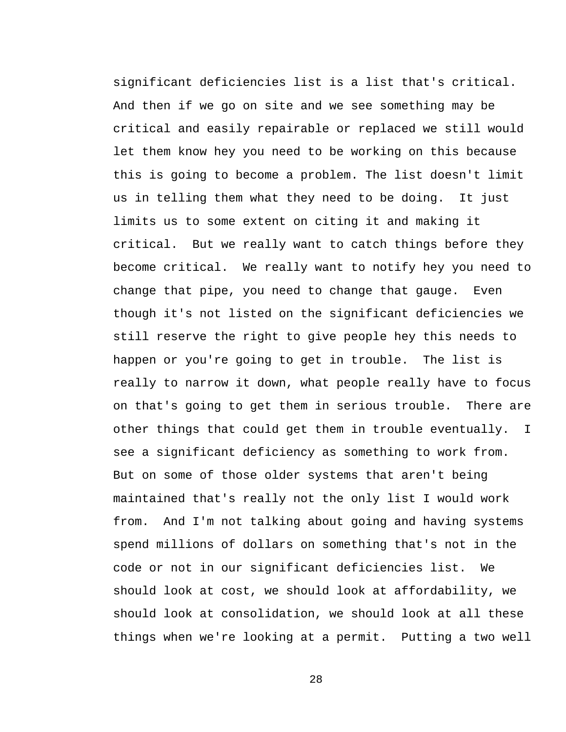significant deficiencies list is a list that's critical. And then if we go on site and we see something may be critical and easily repairable or replaced we still would let them know hey you need to be working on this because this is going to become a problem. The list doesn't limit us in telling them what they need to be doing. It just limits us to some extent on citing it and making it critical. But we really want to catch things before they become critical. We really want to notify hey you need to change that pipe, you need to change that gauge. Even though it's not listed on the significant deficiencies we still reserve the right to give people hey this needs to happen or you're going to get in trouble. The list is really to narrow it down, what people really have to focus on that's going to get them in serious trouble. There are other things that could get them in trouble eventually. I see a significant deficiency as something to work from. But on some of those older systems that aren't being maintained that's really not the only list I would work from. And I'm not talking about going and having systems spend millions of dollars on something that's not in the code or not in our significant deficiencies list. We should look at cost, we should look at affordability, we should look at consolidation, we should look at all these things when we're looking at a permit. Putting a two well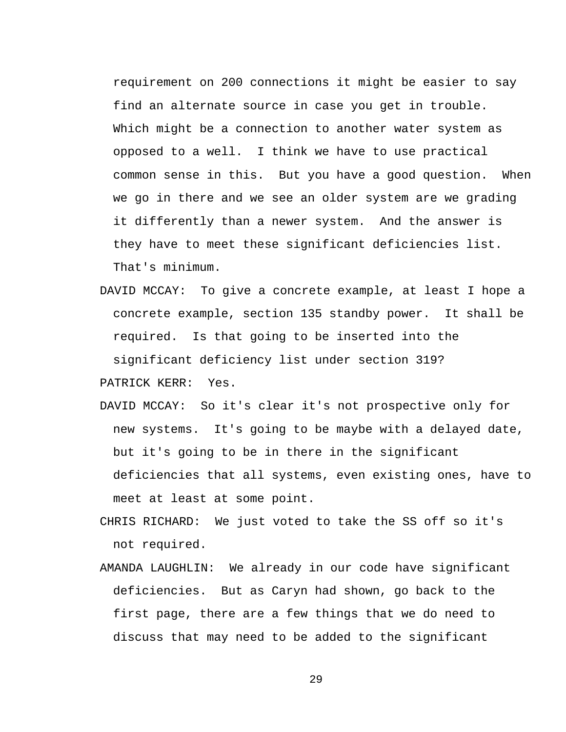requirement on 200 connections it might be easier to say find an alternate source in case you get in trouble. Which might be a connection to another water system as opposed to a well. I think we have to use practical common sense in this. But you have a good question. When we go in there and we see an older system are we grading it differently than a newer system. And the answer is they have to meet these significant deficiencies list. That's minimum.

- DAVID MCCAY: To give a concrete example, at least I hope a concrete example, section 135 standby power. It shall be required. Is that going to be inserted into the significant deficiency list under section 319?
- PATRICK KERR: Yes.
- DAVID MCCAY: So it's clear it's not prospective only for new systems. It's going to be maybe with a delayed date, but it's going to be in there in the significant deficiencies that all systems, even existing ones, have to meet at least at some point.
- CHRIS RICHARD: We just voted to take the SS off so it's not required.
- AMANDA LAUGHLIN: We already in our code have significant deficiencies. But as Caryn had shown, go back to the first page, there are a few things that we do need to discuss that may need to be added to the significant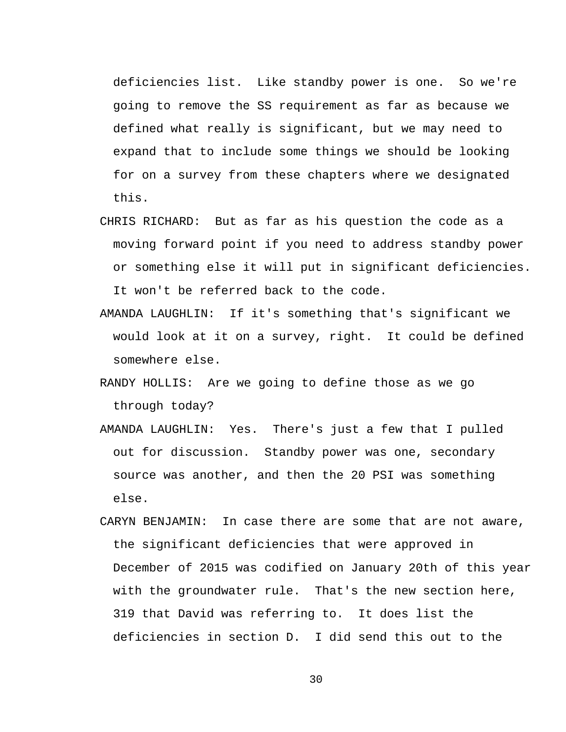deficiencies list. Like standby power is one. So we're going to remove the SS requirement as far as because we defined what really is significant, but we may need to expand that to include some things we should be looking for on a survey from these chapters where we designated this.

- CHRIS RICHARD: But as far as his question the code as a moving forward point if you need to address standby power or something else it will put in significant deficiencies. It won't be referred back to the code.
- AMANDA LAUGHLIN: If it's something that's significant we would look at it on a survey, right. It could be defined somewhere else.
- RANDY HOLLIS: Are we going to define those as we go through today?
- AMANDA LAUGHLIN: Yes. There's just a few that I pulled out for discussion. Standby power was one, secondary source was another, and then the 20 PSI was something else.
- CARYN BENJAMIN: In case there are some that are not aware, the significant deficiencies that were approved in December of 2015 was codified on January 20th of this year with the groundwater rule. That's the new section here, 319 that David was referring to. It does list the deficiencies in section D. I did send this out to the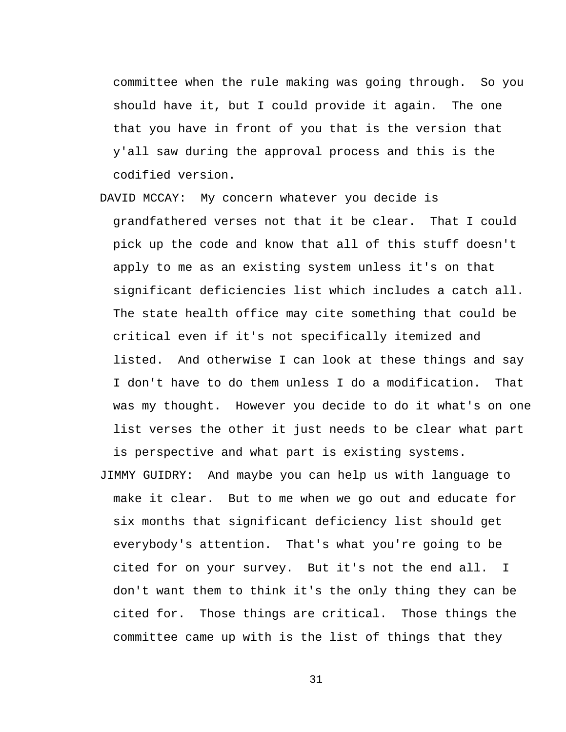committee when the rule making was going through. So you should have it, but I could provide it again. The one that you have in front of you that is the version that y'all saw during the approval process and this is the codified version.

- DAVID MCCAY: My concern whatever you decide is grandfathered verses not that it be clear. That I could pick up the code and know that all of this stuff doesn't apply to me as an existing system unless it's on that significant deficiencies list which includes a catch all. The state health office may cite something that could be critical even if it's not specifically itemized and listed. And otherwise I can look at these things and say I don't have to do them unless I do a modification. That was my thought. However you decide to do it what's on one list verses the other it just needs to be clear what part is perspective and what part is existing systems.
- JIMMY GUIDRY: And maybe you can help us with language to make it clear. But to me when we go out and educate for six months that significant deficiency list should get everybody's attention. That's what you're going to be cited for on your survey. But it's not the end all. I don't want them to think it's the only thing they can be cited for. Those things are critical. Those things the committee came up with is the list of things that they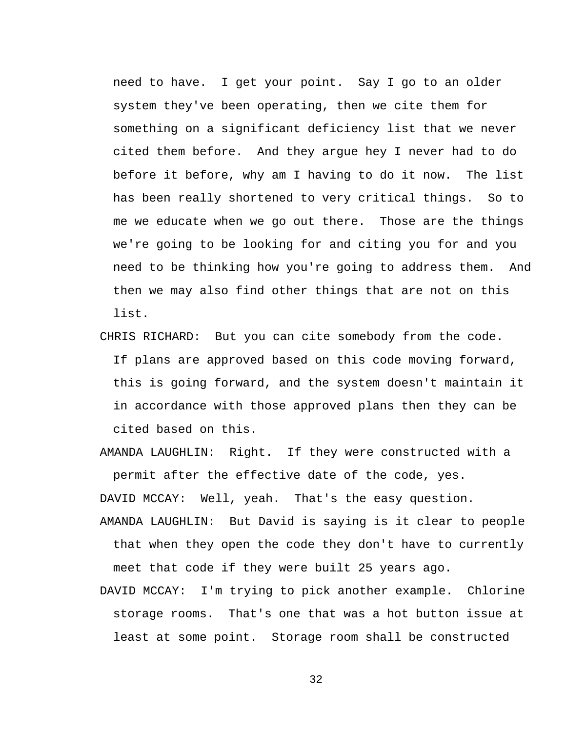need to have. I get your point. Say I go to an older system they've been operating, then we cite them for something on a significant deficiency list that we never cited them before. And they argue hey I never had to do before it before, why am I having to do it now. The list has been really shortened to very critical things. So to me we educate when we go out there. Those are the things we're going to be looking for and citing you for and you need to be thinking how you're going to address them. And then we may also find other things that are not on this list.

CHRIS RICHARD: But you can cite somebody from the code. If plans are approved based on this code moving forward, this is going forward, and the system doesn't maintain it in accordance with those approved plans then they can be cited based on this.

AMANDA LAUGHLIN: Right. If they were constructed with a permit after the effective date of the code, yes.

DAVID MCCAY: Well, yeah. That's the easy question.

- AMANDA LAUGHLIN: But David is saying is it clear to people that when they open the code they don't have to currently meet that code if they were built 25 years ago.
- DAVID MCCAY: I'm trying to pick another example. Chlorine storage rooms. That's one that was a hot button issue at least at some point. Storage room shall be constructed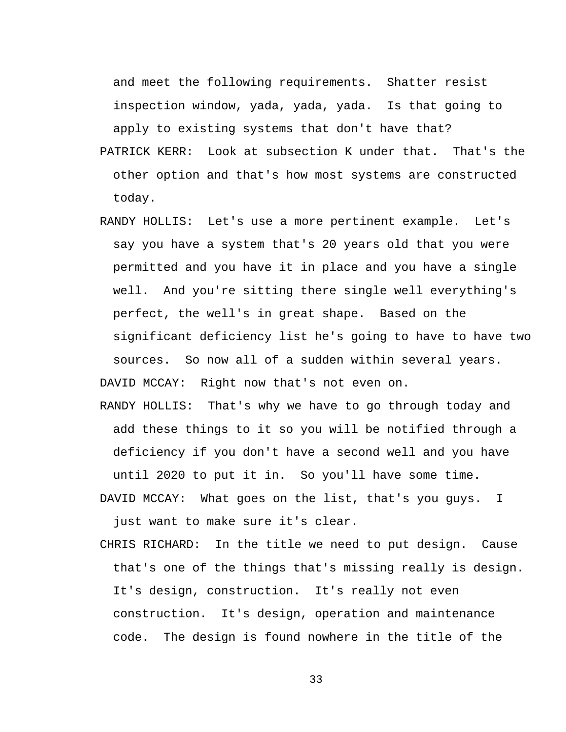and meet the following requirements. Shatter resist inspection window, yada, yada, yada. Is that going to apply to existing systems that don't have that?

- PATRICK KERR: Look at subsection K under that. That's the other option and that's how most systems are constructed today.
- RANDY HOLLIS: Let's use a more pertinent example. Let's say you have a system that's 20 years old that you were permitted and you have it in place and you have a single well. And you're sitting there single well everything's perfect, the well's in great shape. Based on the significant deficiency list he's going to have to have two sources. So now all of a sudden within several years. DAVID MCCAY: Right now that's not even on.
- RANDY HOLLIS: That's why we have to go through today and add these things to it so you will be notified through a deficiency if you don't have a second well and you have until 2020 to put it in. So you'll have some time.
- DAVID MCCAY: What goes on the list, that's you guys. I just want to make sure it's clear.
- CHRIS RICHARD: In the title we need to put design. Cause that's one of the things that's missing really is design. It's design, construction. It's really not even construction. It's design, operation and maintenance code. The design is found nowhere in the title of the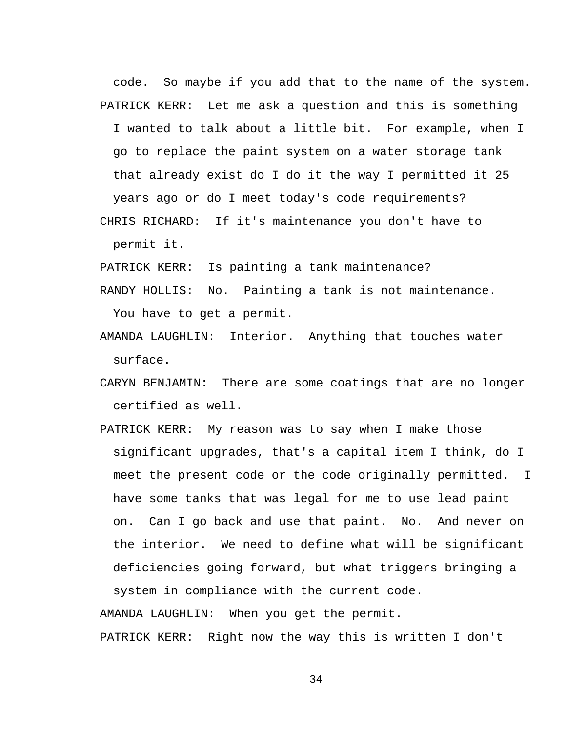code. So maybe if you add that to the name of the system. PATRICK KERR: Let me ask a question and this is something I wanted to talk about a little bit. For example, when I go to replace the paint system on a water storage tank that already exist do I do it the way I permitted it 25 years ago or do I meet today's code requirements?

CHRIS RICHARD: If it's maintenance you don't have to permit it.

PATRICK KERR: Is painting a tank maintenance?

- RANDY HOLLIS: No. Painting a tank is not maintenance. You have to get a permit.
- AMANDA LAUGHLIN: Interior. Anything that touches water surface.
- CARYN BENJAMIN: There are some coatings that are no longer certified as well.
- PATRICK KERR: My reason was to say when I make those significant upgrades, that's a capital item I think, do I meet the present code or the code originally permitted. I have some tanks that was legal for me to use lead paint on. Can I go back and use that paint. No. And never on the interior. We need to define what will be significant deficiencies going forward, but what triggers bringing a system in compliance with the current code.

AMANDA LAUGHLIN: When you get the permit.

PATRICK KERR: Right now the way this is written I don't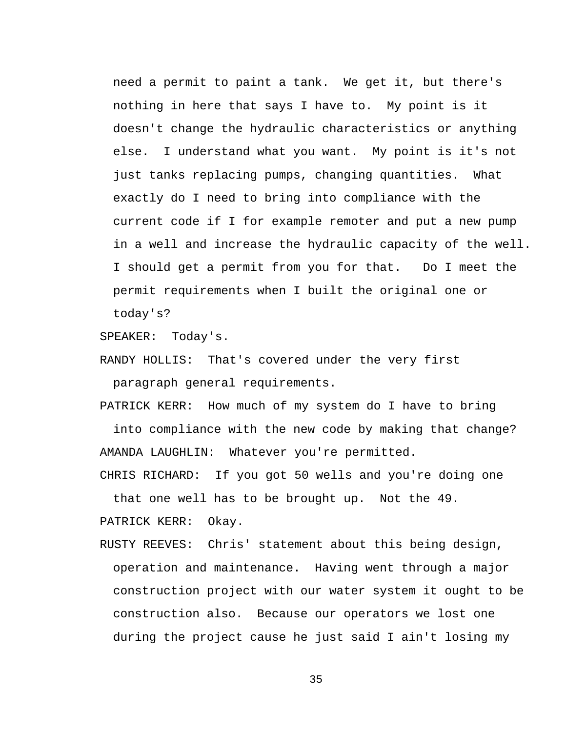need a permit to paint a tank. We get it, but there's nothing in here that says I have to. My point is it doesn't change the hydraulic characteristics or anything else. I understand what you want. My point is it's not just tanks replacing pumps, changing quantities. What exactly do I need to bring into compliance with the current code if I for example remoter and put a new pump in a well and increase the hydraulic capacity of the well. I should get a permit from you for that. Do I meet the permit requirements when I built the original one or today's?

SPEAKER: Today's.

RANDY HOLLIS: That's covered under the very first paragraph general requirements.

PATRICK KERR: How much of my system do I have to bring

into compliance with the new code by making that change? AMANDA LAUGHLIN: Whatever you're permitted.

CHRIS RICHARD: If you got 50 wells and you're doing one that one well has to be brought up. Not the 49.

PATRICK KERR: Okay.

RUSTY REEVES: Chris' statement about this being design, operation and maintenance. Having went through a major construction project with our water system it ought to be construction also. Because our operators we lost one during the project cause he just said I ain't losing my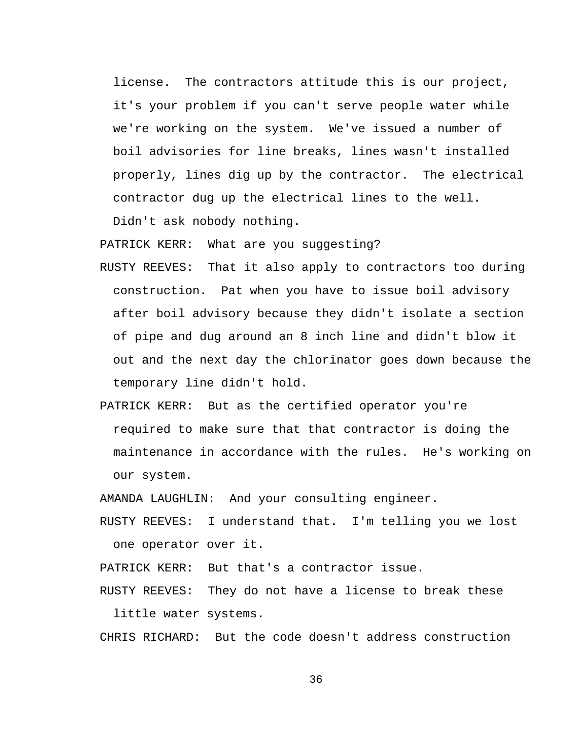license. The contractors attitude this is our project, it's your problem if you can't serve people water while we're working on the system. We've issued a number of boil advisories for line breaks, lines wasn't installed properly, lines dig up by the contractor. The electrical contractor dug up the electrical lines to the well.

Didn't ask nobody nothing.

PATRICK KERR: What are you suggesting?

- RUSTY REEVES: That it also apply to contractors too during construction. Pat when you have to issue boil advisory after boil advisory because they didn't isolate a section of pipe and dug around an 8 inch line and didn't blow it out and the next day the chlorinator goes down because the temporary line didn't hold.
- PATRICK KERR: But as the certified operator you're required to make sure that that contractor is doing the maintenance in accordance with the rules. He's working on our system.

AMANDA LAUGHLIN: And your consulting engineer.

RUSTY REEVES: I understand that. I'm telling you we lost one operator over it.

PATRICK KERR: But that's a contractor issue.

RUSTY REEVES: They do not have a license to break these little water systems.

CHRIS RICHARD: But the code doesn't address construction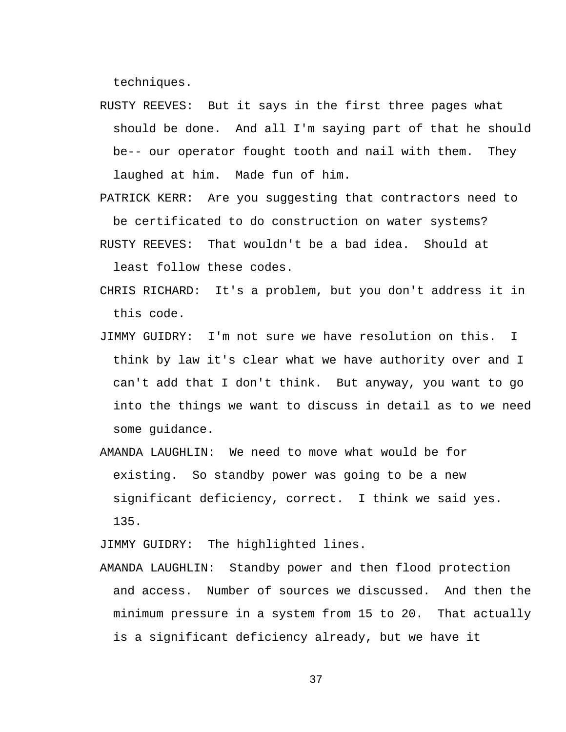techniques.

- RUSTY REEVES: But it says in the first three pages what should be done. And all I'm saying part of that he should be-- our operator fought tooth and nail with them. They laughed at him. Made fun of him.
- PATRICK KERR: Are you suggesting that contractors need to be certificated to do construction on water systems? RUSTY REEVES: That wouldn't be a bad idea. Should at

least follow these codes.

- CHRIS RICHARD: It's a problem, but you don't address it in this code.
- JIMMY GUIDRY: I'm not sure we have resolution on this. I think by law it's clear what we have authority over and I can't add that I don't think. But anyway, you want to go into the things we want to discuss in detail as to we need some guidance.
- AMANDA LAUGHLIN: We need to move what would be for existing. So standby power was going to be a new significant deficiency, correct. I think we said yes. 135.

JIMMY GUIDRY: The highlighted lines.

AMANDA LAUGHLIN: Standby power and then flood protection and access. Number of sources we discussed. And then the minimum pressure in a system from 15 to 20. That actually is a significant deficiency already, but we have it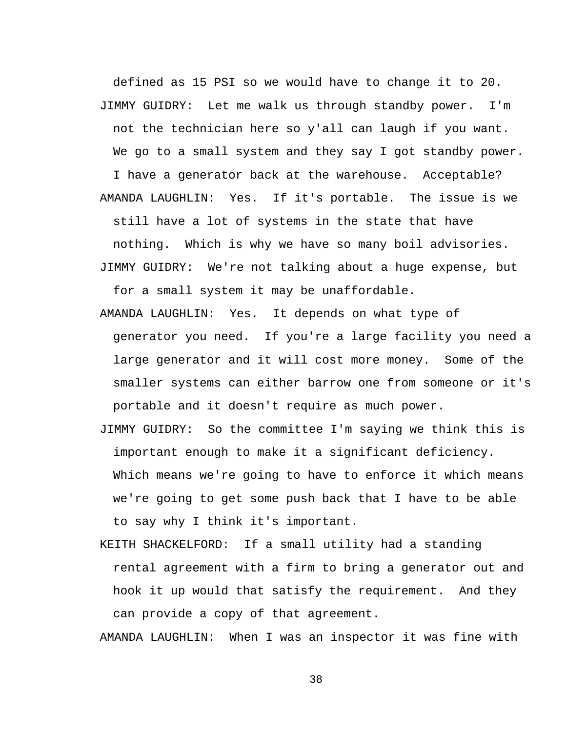defined as 15 PSI so we would have to change it to 20. JIMMY GUIDRY: Let me walk us through standby power. I'm not the technician here so y'all can laugh if you want. We go to a small system and they say I got standby power. I have a generator back at the warehouse. Acceptable? AMANDA LAUGHLIN: Yes. If it's portable. The issue is we still have a lot of systems in the state that have nothing. Which is why we have so many boil advisories. JIMMY GUIDRY: We're not talking about a huge expense, but

for a small system it may be unaffordable.

AMANDA LAUGHLIN: Yes. It depends on what type of generator you need. If you're a large facility you need a large generator and it will cost more money. Some of the smaller systems can either barrow one from someone or it's portable and it doesn't require as much power.

JIMMY GUIDRY: So the committee I'm saying we think this is important enough to make it a significant deficiency. Which means we're going to have to enforce it which means we're going to get some push back that I have to be able to say why I think it's important.

KEITH SHACKELFORD: If a small utility had a standing rental agreement with a firm to bring a generator out and hook it up would that satisfy the requirement. And they can provide a copy of that agreement.

AMANDA LAUGHLIN: When I was an inspector it was fine with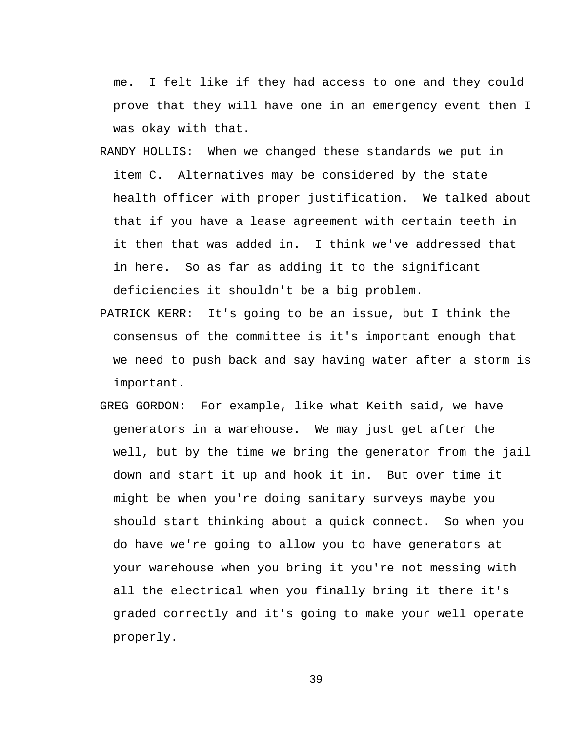me. I felt like if they had access to one and they could prove that they will have one in an emergency event then I was okay with that.

- RANDY HOLLIS: When we changed these standards we put in item C. Alternatives may be considered by the state health officer with proper justification. We talked about that if you have a lease agreement with certain teeth in it then that was added in. I think we've addressed that in here. So as far as adding it to the significant deficiencies it shouldn't be a big problem.
- PATRICK KERR: It's going to be an issue, but I think the consensus of the committee is it's important enough that we need to push back and say having water after a storm is important.
- GREG GORDON: For example, like what Keith said, we have generators in a warehouse. We may just get after the well, but by the time we bring the generator from the jail down and start it up and hook it in. But over time it might be when you're doing sanitary surveys maybe you should start thinking about a quick connect. So when you do have we're going to allow you to have generators at your warehouse when you bring it you're not messing with all the electrical when you finally bring it there it's graded correctly and it's going to make your well operate properly.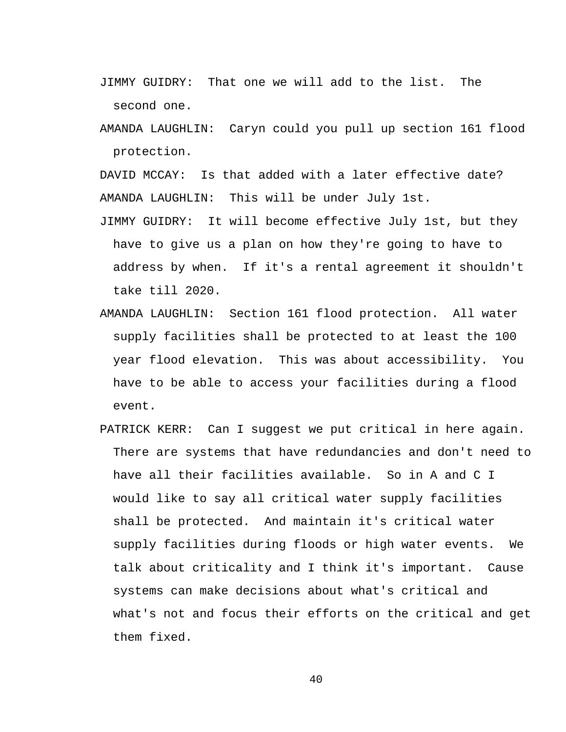- JIMMY GUIDRY: That one we will add to the list. The second one.
- AMANDA LAUGHLIN: Caryn could you pull up section 161 flood protection.

DAVID MCCAY: Is that added with a later effective date? AMANDA LAUGHLIN: This will be under July 1st.

- JIMMY GUIDRY: It will become effective July 1st, but they have to give us a plan on how they're going to have to address by when. If it's a rental agreement it shouldn't take till 2020.
- AMANDA LAUGHLIN: Section 161 flood protection. All water supply facilities shall be protected to at least the 100 year flood elevation. This was about accessibility. You have to be able to access your facilities during a flood event.
- PATRICK KERR: Can I suggest we put critical in here again. There are systems that have redundancies and don't need to have all their facilities available. So in A and C I would like to say all critical water supply facilities shall be protected. And maintain it's critical water supply facilities during floods or high water events. We talk about criticality and I think it's important. Cause systems can make decisions about what's critical and what's not and focus their efforts on the critical and get them fixed.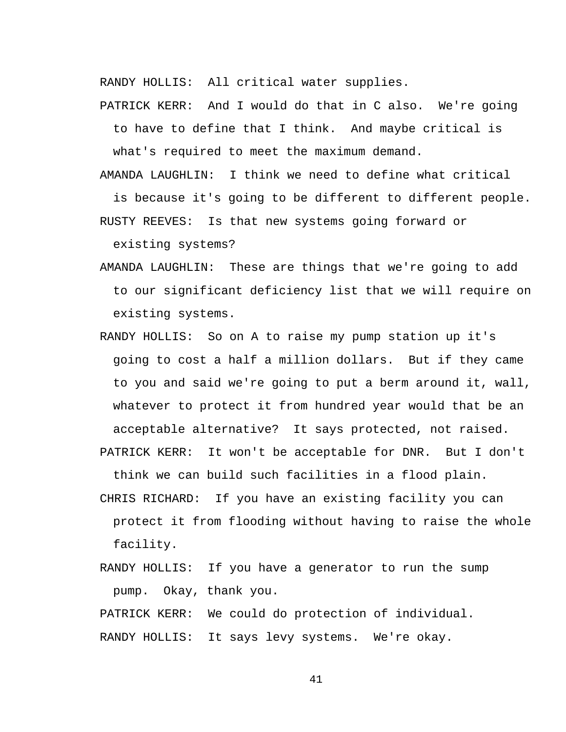RANDY HOLLIS: All critical water supplies.

PATRICK KERR: And I would do that in C also. We're going

to have to define that I think. And maybe critical is what's required to meet the maximum demand.

AMANDA LAUGHLIN: I think we need to define what critical

is because it's going to be different to different people. RUSTY REEVES: Is that new systems going forward or

existing systems?

- AMANDA LAUGHLIN: These are things that we're going to add to our significant deficiency list that we will require on existing systems.
- RANDY HOLLIS: So on A to raise my pump station up it's going to cost a half a million dollars. But if they came to you and said we're going to put a berm around it, wall, whatever to protect it from hundred year would that be an acceptable alternative? It says protected, not raised.

PATRICK KERR: It won't be acceptable for DNR. But I don't think we can build such facilities in a flood plain.

- CHRIS RICHARD: If you have an existing facility you can protect it from flooding without having to raise the whole facility.
- RANDY HOLLIS: If you have a generator to run the sump pump. Okay, thank you.

PATRICK KERR: We could do protection of individual. RANDY HOLLIS: It says levy systems. We're okay.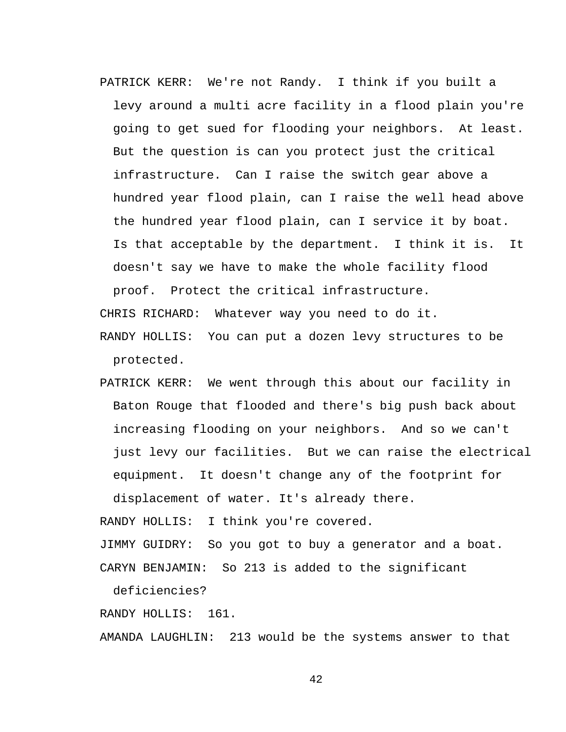PATRICK KERR: We're not Randy. I think if you built a levy around a multi acre facility in a flood plain you're going to get sued for flooding your neighbors. At least. But the question is can you protect just the critical infrastructure. Can I raise the switch gear above a hundred year flood plain, can I raise the well head above the hundred year flood plain, can I service it by boat. Is that acceptable by the department. I think it is. It doesn't say we have to make the whole facility flood proof. Protect the critical infrastructure.

CHRIS RICHARD: Whatever way you need to do it.

- RANDY HOLLIS: You can put a dozen levy structures to be protected.
- PATRICK KERR: We went through this about our facility in Baton Rouge that flooded and there's big push back about increasing flooding on your neighbors. And so we can't just levy our facilities. But we can raise the electrical equipment. It doesn't change any of the footprint for displacement of water. It's already there.

RANDY HOLLIS: I think you're covered.

JIMMY GUIDRY: So you got to buy a generator and a boat. CARYN BENJAMIN: So 213 is added to the significant

deficiencies?

RANDY HOLLIS: 161.

AMANDA LAUGHLIN: 213 would be the systems answer to that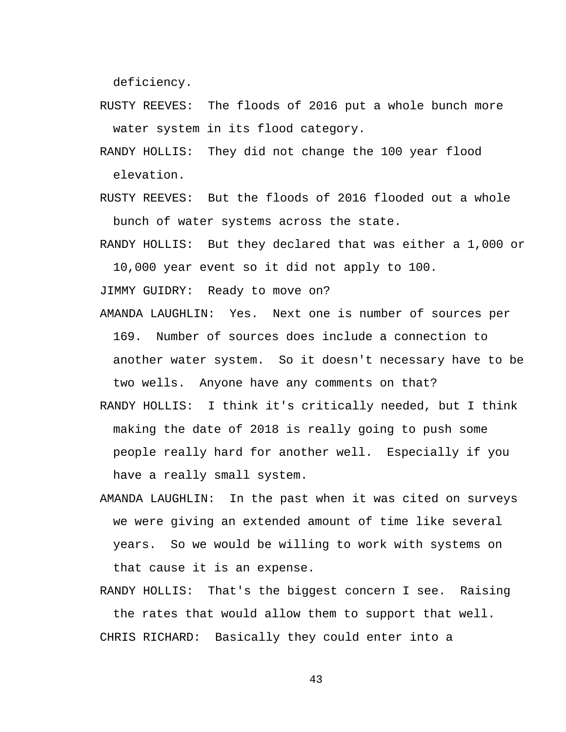deficiency.

- RUSTY REEVES: The floods of 2016 put a whole bunch more water system in its flood category.
- RANDY HOLLIS: They did not change the 100 year flood elevation.
- RUSTY REEVES: But the floods of 2016 flooded out a whole bunch of water systems across the state.
- RANDY HOLLIS: But they declared that was either a 1,000 or 10,000 year event so it did not apply to 100.

JIMMY GUIDRY: Ready to move on?

- AMANDA LAUGHLIN: Yes. Next one is number of sources per 169. Number of sources does include a connection to another water system. So it doesn't necessary have to be two wells. Anyone have any comments on that?
- RANDY HOLLIS: I think it's critically needed, but I think making the date of 2018 is really going to push some people really hard for another well. Especially if you have a really small system.
- AMANDA LAUGHLIN: In the past when it was cited on surveys we were giving an extended amount of time like several years. So we would be willing to work with systems on that cause it is an expense.
- RANDY HOLLIS: That's the biggest concern I see. Raising the rates that would allow them to support that well. CHRIS RICHARD: Basically they could enter into a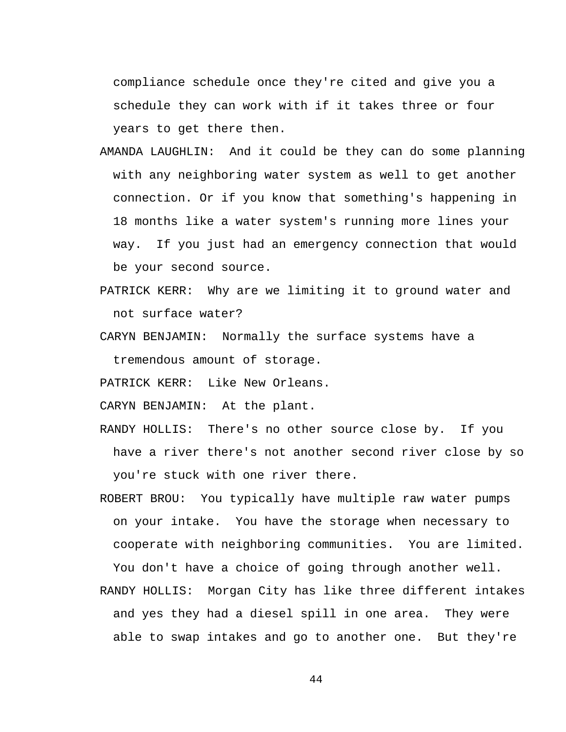compliance schedule once they're cited and give you a schedule they can work with if it takes three or four years to get there then.

- AMANDA LAUGHLIN: And it could be they can do some planning with any neighboring water system as well to get another connection. Or if you know that something's happening in 18 months like a water system's running more lines your way. If you just had an emergency connection that would be your second source.
- PATRICK KERR: Why are we limiting it to ground water and not surface water?
- CARYN BENJAMIN: Normally the surface systems have a tremendous amount of storage.

PATRICK KERR: Like New Orleans.

CARYN BENJAMIN: At the plant.

- RANDY HOLLIS: There's no other source close by. If you have a river there's not another second river close by so you're stuck with one river there.
- ROBERT BROU: You typically have multiple raw water pumps on your intake. You have the storage when necessary to cooperate with neighboring communities. You are limited. You don't have a choice of going through another well.
- RANDY HOLLIS: Morgan City has like three different intakes and yes they had a diesel spill in one area. They were able to swap intakes and go to another one. But they're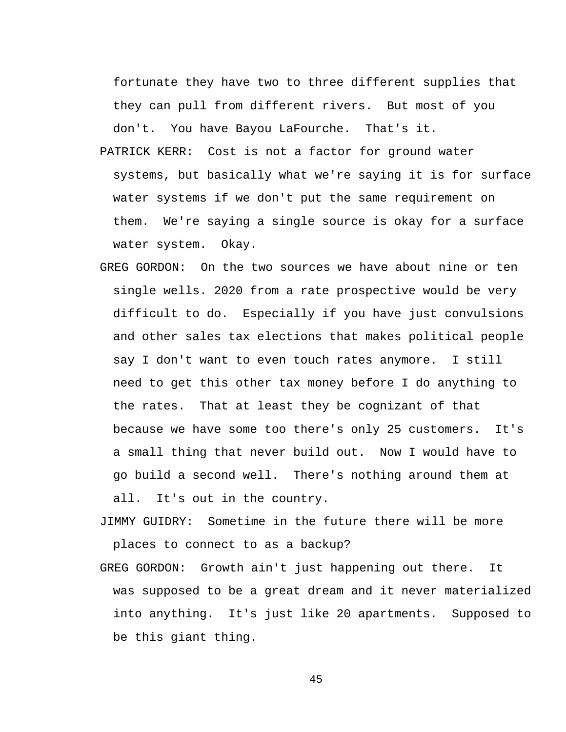fortunate they have two to three different supplies that they can pull from different rivers. But most of you don't. You have Bayou LaFourche. That's it.

- PATRICK KERR: Cost is not a factor for ground water systems, but basically what we're saying it is for surface water systems if we don't put the same requirement on them. We're saying a single source is okay for a surface water system. Okay.
- GREG GORDON: On the two sources we have about nine or ten single wells. 2020 from a rate prospective would be very difficult to do. Especially if you have just convulsions and other sales tax elections that makes political people say I don't want to even touch rates anymore. I still need to get this other tax money before I do anything to the rates. That at least they be cognizant of that because we have some too there's only 25 customers. It's a small thing that never build out. Now I would have to go build a second well. There's nothing around them at all. It's out in the country.
- JIMMY GUIDRY: Sometime in the future there will be more places to connect to as a backup?
- GREG GORDON: Growth ain't just happening out there. It was supposed to be a great dream and it never materialized into anything. It's just like 20 apartments. Supposed to be this giant thing.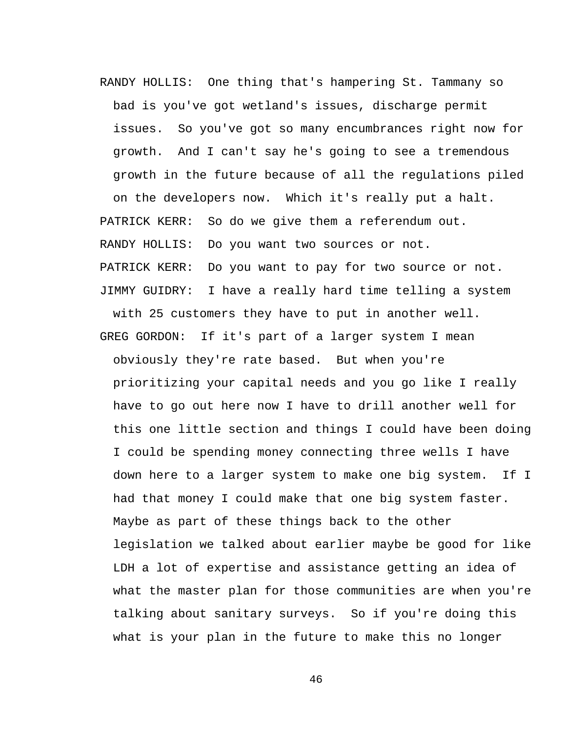RANDY HOLLIS: One thing that's hampering St. Tammany so bad is you've got wetland's issues, discharge permit issues. So you've got so many encumbrances right now for growth. And I can't say he's going to see a tremendous growth in the future because of all the regulations piled on the developers now. Which it's really put a halt. PATRICK KERR: So do we give them a referendum out. RANDY HOLLIS: Do you want two sources or not. PATRICK KERR: Do you want to pay for two source or not. JIMMY GUIDRY: I have a really hard time telling a system with 25 customers they have to put in another well. GREG GORDON: If it's part of a larger system I mean

obviously they're rate based. But when you're prioritizing your capital needs and you go like I really have to go out here now I have to drill another well for this one little section and things I could have been doing I could be spending money connecting three wells I have down here to a larger system to make one big system. If I had that money I could make that one big system faster. Maybe as part of these things back to the other legislation we talked about earlier maybe be good for like LDH a lot of expertise and assistance getting an idea of what the master plan for those communities are when you're talking about sanitary surveys. So if you're doing this what is your plan in the future to make this no longer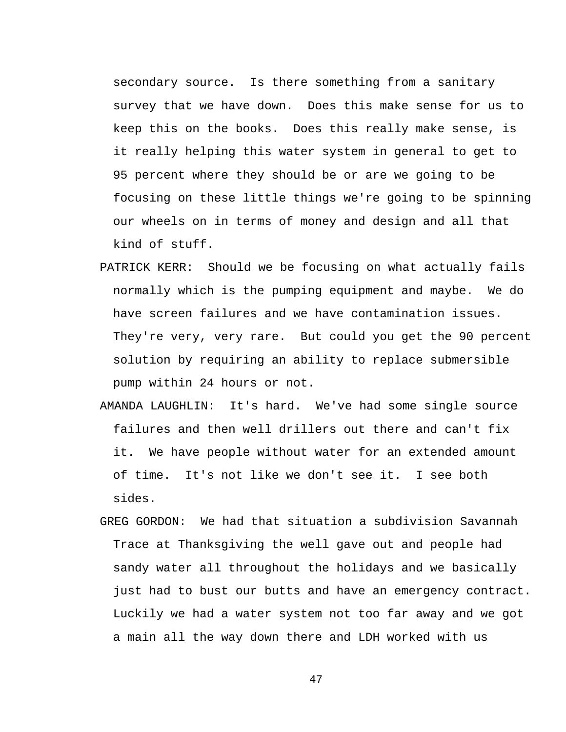secondary source. Is there something from a sanitary survey that we have down. Does this make sense for us to keep this on the books. Does this really make sense, is it really helping this water system in general to get to 95 percent where they should be or are we going to be focusing on these little things we're going to be spinning our wheels on in terms of money and design and all that kind of stuff.

- PATRICK KERR: Should we be focusing on what actually fails normally which is the pumping equipment and maybe. We do have screen failures and we have contamination issues. They're very, very rare. But could you get the 90 percent solution by requiring an ability to replace submersible pump within 24 hours or not.
- AMANDA LAUGHLIN: It's hard. We've had some single source failures and then well drillers out there and can't fix it. We have people without water for an extended amount of time. It's not like we don't see it. I see both sides.
- GREG GORDON: We had that situation a subdivision Savannah Trace at Thanksgiving the well gave out and people had sandy water all throughout the holidays and we basically just had to bust our butts and have an emergency contract. Luckily we had a water system not too far away and we got a main all the way down there and LDH worked with us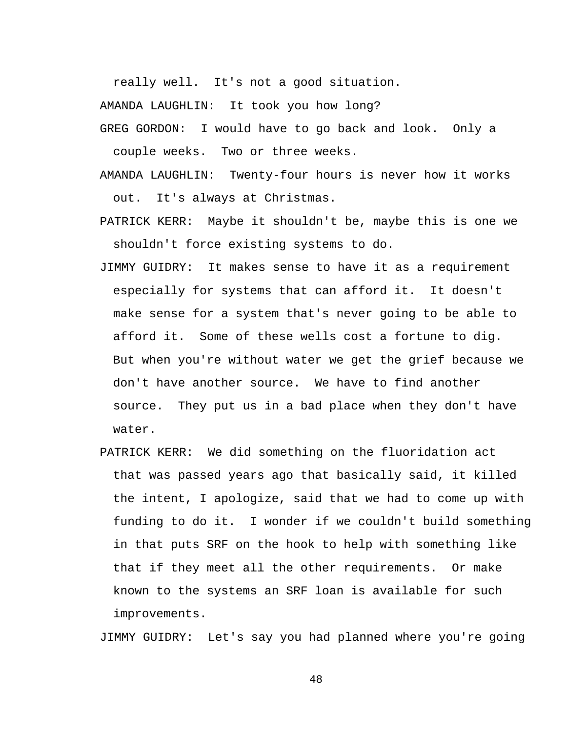really well. It's not a good situation.

AMANDA LAUGHLIN: It took you how long?

GREG GORDON: I would have to go back and look. Only a couple weeks. Two or three weeks.

AMANDA LAUGHLIN: Twenty-four hours is never how it works out. It's always at Christmas.

PATRICK KERR: Maybe it shouldn't be, maybe this is one we

shouldn't force existing systems to do.

- JIMMY GUIDRY: It makes sense to have it as a requirement especially for systems that can afford it. It doesn't make sense for a system that's never going to be able to afford it. Some of these wells cost a fortune to dig. But when you're without water we get the grief because we don't have another source. We have to find another source. They put us in a bad place when they don't have water.
- PATRICK KERR: We did something on the fluoridation act that was passed years ago that basically said, it killed the intent, I apologize, said that we had to come up with funding to do it. I wonder if we couldn't build something in that puts SRF on the hook to help with something like that if they meet all the other requirements. Or make known to the systems an SRF loan is available for such improvements.

JIMMY GUIDRY: Let's say you had planned where you're going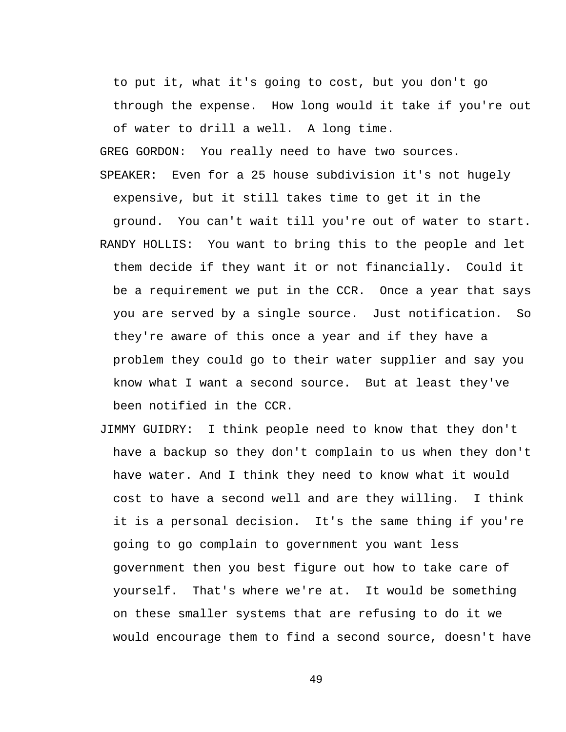to put it, what it's going to cost, but you don't go through the expense. How long would it take if you're out of water to drill a well. A long time.

GREG GORDON: You really need to have two sources. SPEAKER: Even for a 25 house subdivision it's not hugely expensive, but it still takes time to get it in the ground. You can't wait till you're out of water to start. RANDY HOLLIS: You want to bring this to the people and let them decide if they want it or not financially. Could it be a requirement we put in the CCR. Once a year that says you are served by a single source. Just notification. So they're aware of this once a year and if they have a problem they could go to their water supplier and say you know what I want a second source. But at least they've been notified in the CCR.

JIMMY GUIDRY: I think people need to know that they don't have a backup so they don't complain to us when they don't have water. And I think they need to know what it would cost to have a second well and are they willing. I think it is a personal decision. It's the same thing if you're going to go complain to government you want less government then you best figure out how to take care of yourself. That's where we're at. It would be something on these smaller systems that are refusing to do it we would encourage them to find a second source, doesn't have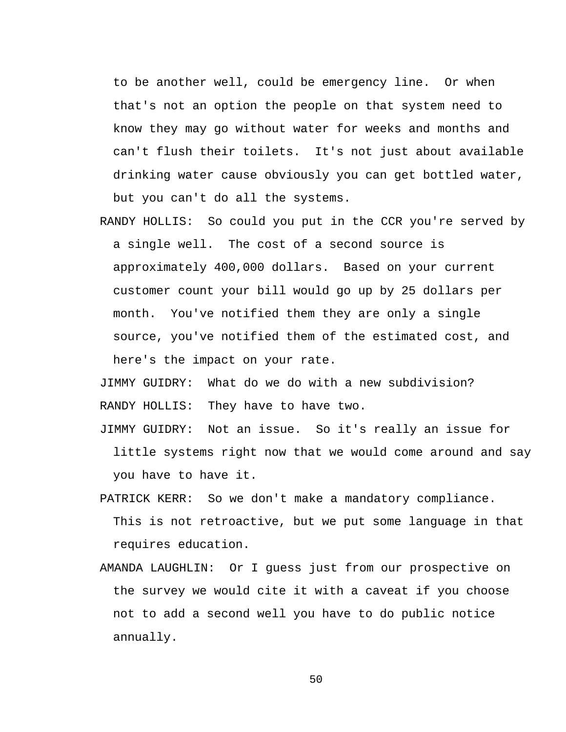to be another well, could be emergency line. Or when that's not an option the people on that system need to know they may go without water for weeks and months and can't flush their toilets. It's not just about available drinking water cause obviously you can get bottled water, but you can't do all the systems.

RANDY HOLLIS: So could you put in the CCR you're served by a single well. The cost of a second source is approximately 400,000 dollars. Based on your current customer count your bill would go up by 25 dollars per month. You've notified them they are only a single source, you've notified them of the estimated cost, and here's the impact on your rate.

JIMMY GUIDRY: What do we do with a new subdivision? RANDY HOLLIS: They have to have two.

JIMMY GUIDRY: Not an issue. So it's really an issue for little systems right now that we would come around and say you have to have it.

- PATRICK KERR: So we don't make a mandatory compliance. This is not retroactive, but we put some language in that requires education.
- AMANDA LAUGHLIN: Or I guess just from our prospective on the survey we would cite it with a caveat if you choose not to add a second well you have to do public notice annually.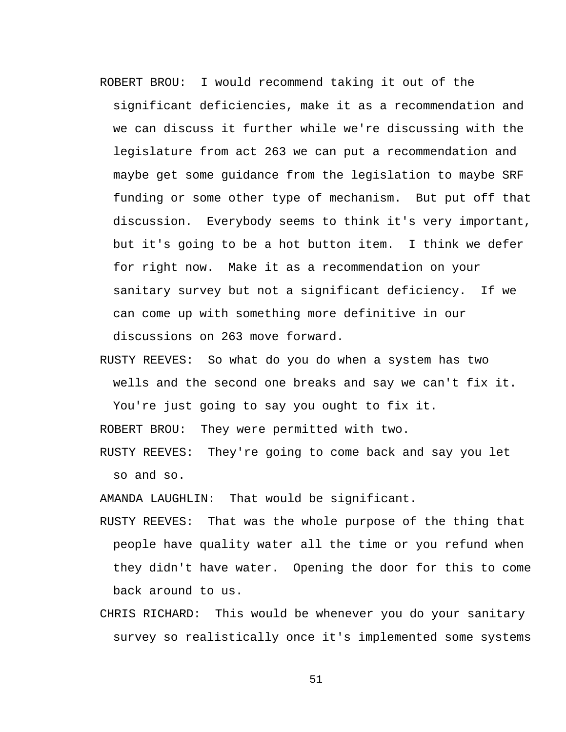ROBERT BROU: I would recommend taking it out of the significant deficiencies, make it as a recommendation and we can discuss it further while we're discussing with the legislature from act 263 we can put a recommendation and maybe get some guidance from the legislation to maybe SRF funding or some other type of mechanism. But put off that discussion. Everybody seems to think it's very important, but it's going to be a hot button item. I think we defer for right now. Make it as a recommendation on your sanitary survey but not a significant deficiency. If we can come up with something more definitive in our

discussions on 263 move forward.

RUSTY REEVES: So what do you do when a system has two wells and the second one breaks and say we can't fix it. You're just going to say you ought to fix it.

ROBERT BROU: They were permitted with two.

RUSTY REEVES: They're going to come back and say you let so and so.

AMANDA LAUGHLIN: That would be significant.

- RUSTY REEVES: That was the whole purpose of the thing that people have quality water all the time or you refund when they didn't have water. Opening the door for this to come back around to us.
- CHRIS RICHARD: This would be whenever you do your sanitary survey so realistically once it's implemented some systems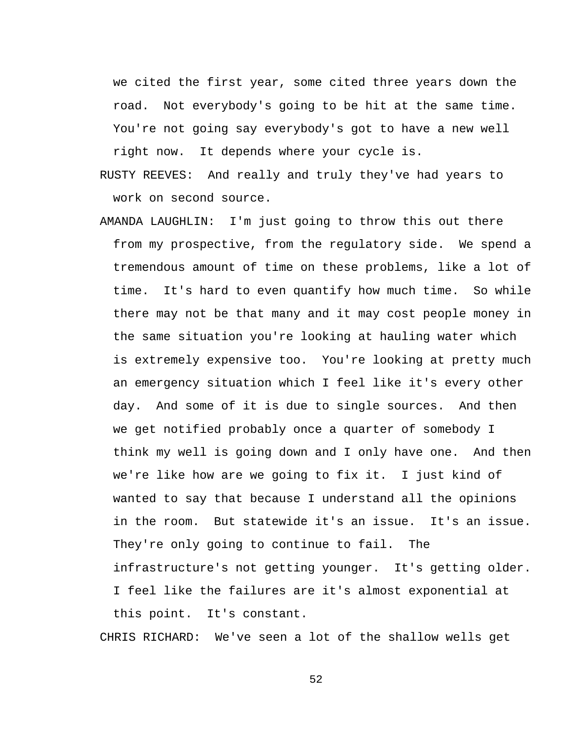we cited the first year, some cited three years down the road. Not everybody's going to be hit at the same time. You're not going say everybody's got to have a new well right now. It depends where your cycle is.

- RUSTY REEVES: And really and truly they've had years to work on second source.
- AMANDA LAUGHLIN: I'm just going to throw this out there from my prospective, from the regulatory side. We spend a tremendous amount of time on these problems, like a lot of time. It's hard to even quantify how much time. So while there may not be that many and it may cost people money in the same situation you're looking at hauling water which is extremely expensive too. You're looking at pretty much an emergency situation which I feel like it's every other day. And some of it is due to single sources. And then we get notified probably once a quarter of somebody I think my well is going down and I only have one. And then we're like how are we going to fix it. I just kind of wanted to say that because I understand all the opinions in the room. But statewide it's an issue. It's an issue. They're only going to continue to fail. The infrastructure's not getting younger. It's getting older. I feel like the failures are it's almost exponential at this point. It's constant.

CHRIS RICHARD: We've seen a lot of the shallow wells get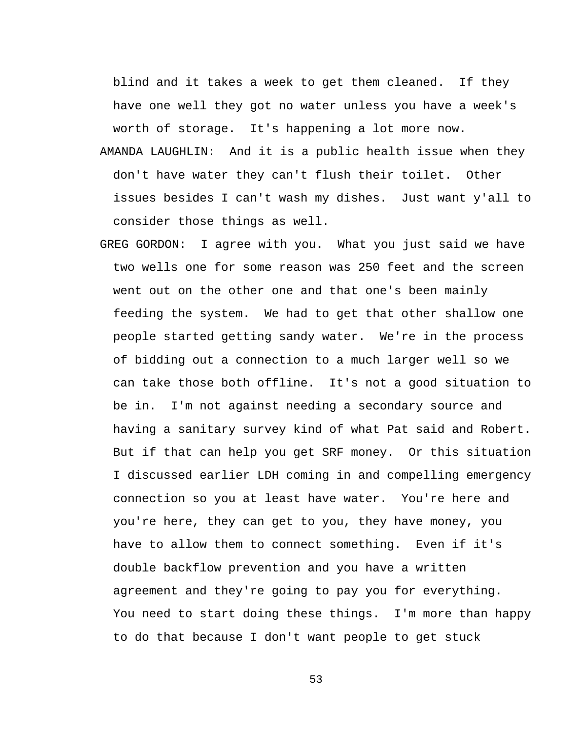blind and it takes a week to get them cleaned. If they have one well they got no water unless you have a week's worth of storage. It's happening a lot more now.

- AMANDA LAUGHLIN: And it is a public health issue when they don't have water they can't flush their toilet. Other issues besides I can't wash my dishes. Just want y'all to consider those things as well.
- GREG GORDON: I agree with you. What you just said we have two wells one for some reason was 250 feet and the screen went out on the other one and that one's been mainly feeding the system. We had to get that other shallow one people started getting sandy water. We're in the process of bidding out a connection to a much larger well so we can take those both offline. It's not a good situation to be in. I'm not against needing a secondary source and having a sanitary survey kind of what Pat said and Robert. But if that can help you get SRF money. Or this situation I discussed earlier LDH coming in and compelling emergency connection so you at least have water. You're here and you're here, they can get to you, they have money, you have to allow them to connect something. Even if it's double backflow prevention and you have a written agreement and they're going to pay you for everything. You need to start doing these things. I'm more than happy to do that because I don't want people to get stuck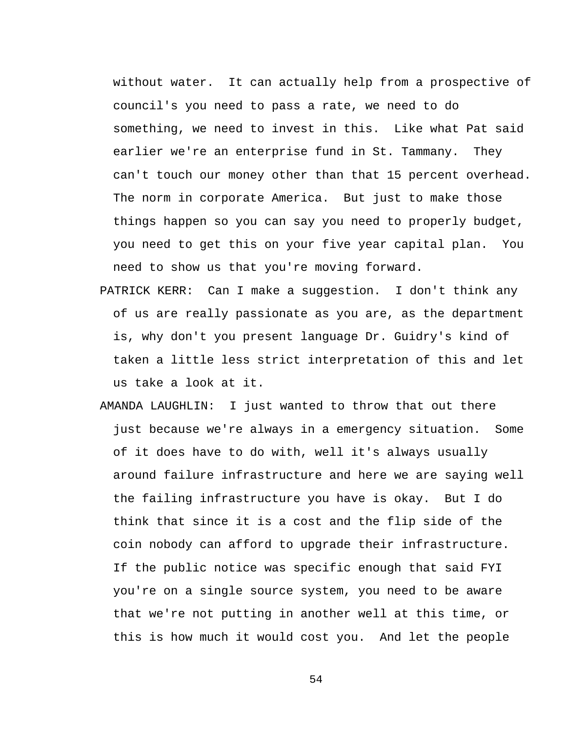without water. It can actually help from a prospective of council's you need to pass a rate, we need to do something, we need to invest in this. Like what Pat said earlier we're an enterprise fund in St. Tammany. They can't touch our money other than that 15 percent overhead. The norm in corporate America. But just to make those things happen so you can say you need to properly budget, you need to get this on your five year capital plan. You need to show us that you're moving forward.

- PATRICK KERR: Can I make a suggestion. I don't think any of us are really passionate as you are, as the department is, why don't you present language Dr. Guidry's kind of taken a little less strict interpretation of this and let us take a look at it.
- AMANDA LAUGHLIN: I just wanted to throw that out there just because we're always in a emergency situation. Some of it does have to do with, well it's always usually around failure infrastructure and here we are saying well the failing infrastructure you have is okay. But I do think that since it is a cost and the flip side of the coin nobody can afford to upgrade their infrastructure. If the public notice was specific enough that said FYI you're on a single source system, you need to be aware that we're not putting in another well at this time, or this is how much it would cost you. And let the people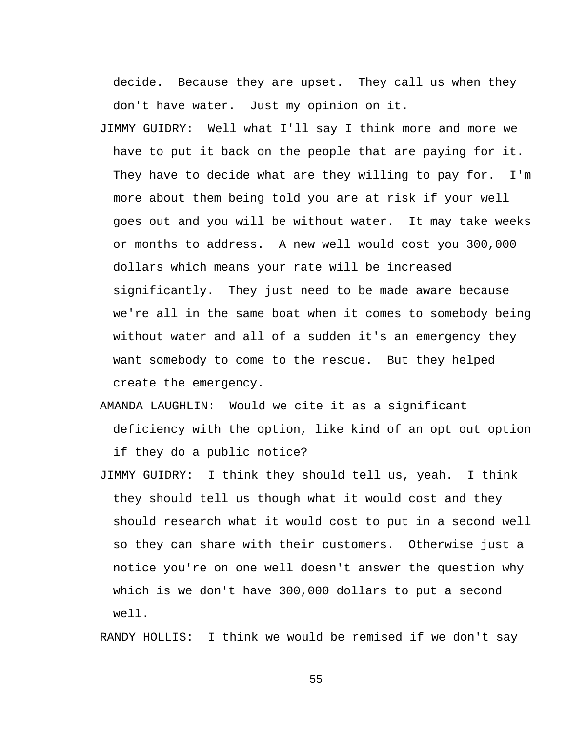decide. Because they are upset. They call us when they don't have water. Just my opinion on it.

- JIMMY GUIDRY: Well what I'll say I think more and more we have to put it back on the people that are paying for it. They have to decide what are they willing to pay for. I'm more about them being told you are at risk if your well goes out and you will be without water. It may take weeks or months to address. A new well would cost you 300,000 dollars which means your rate will be increased significantly. They just need to be made aware because we're all in the same boat when it comes to somebody being without water and all of a sudden it's an emergency they want somebody to come to the rescue. But they helped create the emergency.
- AMANDA LAUGHLIN: Would we cite it as a significant deficiency with the option, like kind of an opt out option if they do a public notice?
- JIMMY GUIDRY: I think they should tell us, yeah. I think they should tell us though what it would cost and they should research what it would cost to put in a second well so they can share with their customers. Otherwise just a notice you're on one well doesn't answer the question why which is we don't have 300,000 dollars to put a second well.

RANDY HOLLIS: I think we would be remised if we don't say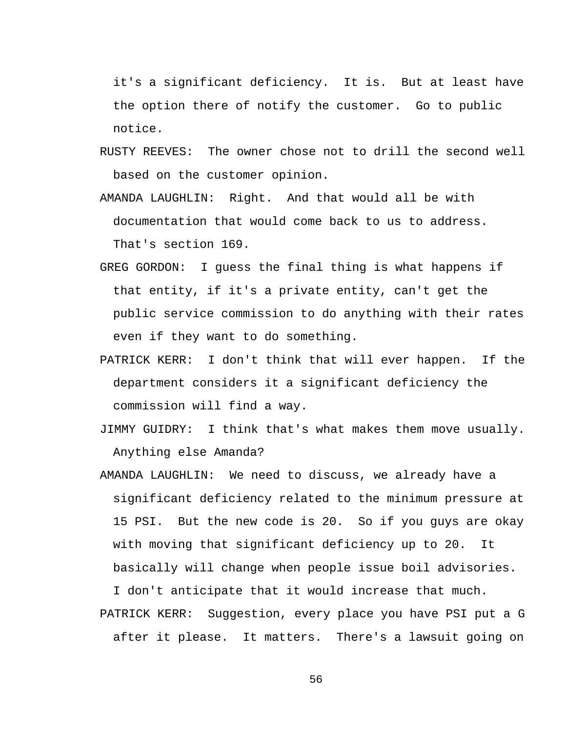it's a significant deficiency. It is. But at least have the option there of notify the customer. Go to public notice.

- RUSTY REEVES: The owner chose not to drill the second well based on the customer opinion.
- AMANDA LAUGHLIN: Right. And that would all be with documentation that would come back to us to address. That's section 169.
- GREG GORDON: I guess the final thing is what happens if that entity, if it's a private entity, can't get the public service commission to do anything with their rates even if they want to do something.
- PATRICK KERR: I don't think that will ever happen. If the department considers it a significant deficiency the commission will find a way.
- JIMMY GUIDRY: I think that's what makes them move usually. Anything else Amanda?
- AMANDA LAUGHLIN: We need to discuss, we already have a significant deficiency related to the minimum pressure at 15 PSI. But the new code is 20. So if you guys are okay with moving that significant deficiency up to 20. It basically will change when people issue boil advisories.

I don't anticipate that it would increase that much. PATRICK KERR: Suggestion, every place you have PSI put a G after it please. It matters. There's a lawsuit going on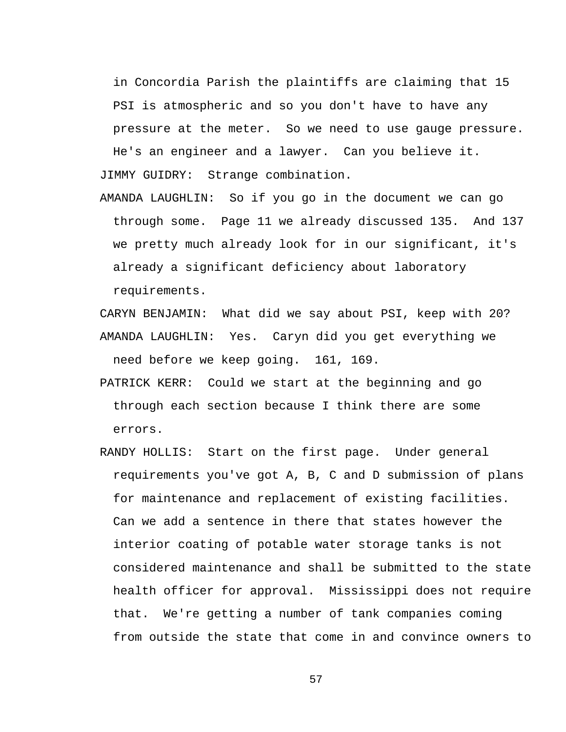in Concordia Parish the plaintiffs are claiming that 15 PSI is atmospheric and so you don't have to have any pressure at the meter. So we need to use gauge pressure. He's an engineer and a lawyer. Can you believe it.

JIMMY GUIDRY: Strange combination.

AMANDA LAUGHLIN: So if you go in the document we can go through some. Page 11 we already discussed 135. And 137 we pretty much already look for in our significant, it's already a significant deficiency about laboratory requirements.

CARYN BENJAMIN: What did we say about PSI, keep with 20? AMANDA LAUGHLIN: Yes. Caryn did you get everything we need before we keep going. 161, 169.

- PATRICK KERR: Could we start at the beginning and go through each section because I think there are some errors.
- RANDY HOLLIS: Start on the first page. Under general requirements you've got A, B, C and D submission of plans for maintenance and replacement of existing facilities. Can we add a sentence in there that states however the interior coating of potable water storage tanks is not considered maintenance and shall be submitted to the state health officer for approval. Mississippi does not require that. We're getting a number of tank companies coming from outside the state that come in and convince owners to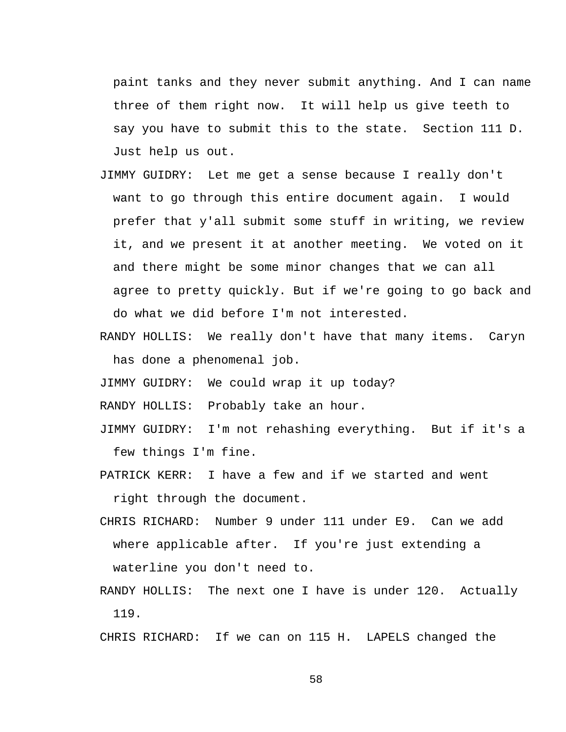paint tanks and they never submit anything. And I can name three of them right now. It will help us give teeth to say you have to submit this to the state. Section 111 D. Just help us out.

- JIMMY GUIDRY: Let me get a sense because I really don't want to go through this entire document again. I would prefer that y'all submit some stuff in writing, we review it, and we present it at another meeting. We voted on it and there might be some minor changes that we can all agree to pretty quickly. But if we're going to go back and do what we did before I'm not interested.
- RANDY HOLLIS: We really don't have that many items. Caryn has done a phenomenal job.
- JIMMY GUIDRY: We could wrap it up today?
- RANDY HOLLIS: Probably take an hour.
- JIMMY GUIDRY: I'm not rehashing everything. But if it's a few things I'm fine.
- PATRICK KERR: I have a few and if we started and went right through the document.
- CHRIS RICHARD: Number 9 under 111 under E9. Can we add where applicable after. If you're just extending a waterline you don't need to.
- RANDY HOLLIS: The next one I have is under 120. Actually 119.

CHRIS RICHARD: If we can on 115 H. LAPELS changed the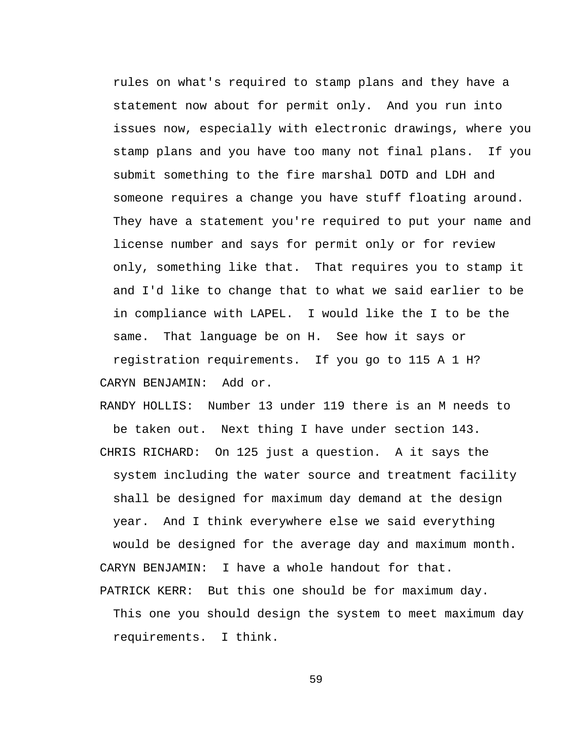rules on what's required to stamp plans and they have a statement now about for permit only. And you run into issues now, especially with electronic drawings, where you stamp plans and you have too many not final plans. If you submit something to the fire marshal DOTD and LDH and someone requires a change you have stuff floating around. They have a statement you're required to put your name and license number and says for permit only or for review only, something like that. That requires you to stamp it and I'd like to change that to what we said earlier to be in compliance with LAPEL. I would like the I to be the same. That language be on H. See how it says or registration requirements. If you go to 115 A 1 H? CARYN BENJAMIN: Add or.

RANDY HOLLIS: Number 13 under 119 there is an M needs to be taken out. Next thing I have under section 143. CHRIS RICHARD: On 125 just a question. A it says the system including the water source and treatment facility shall be designed for maximum day demand at the design year. And I think everywhere else we said everything would be designed for the average day and maximum month. CARYN BENJAMIN: I have a whole handout for that.

PATRICK KERR: But this one should be for maximum day. This one you should design the system to meet maximum day requirements. I think.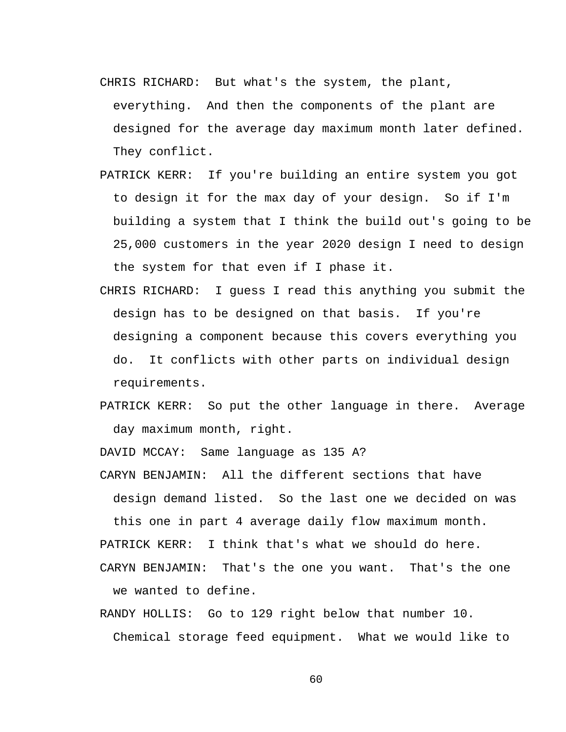- CHRIS RICHARD: But what's the system, the plant,
- everything. And then the components of the plant are designed for the average day maximum month later defined. They conflict.
- PATRICK KERR: If you're building an entire system you got to design it for the max day of your design. So if I'm building a system that I think the build out's going to be 25,000 customers in the year 2020 design I need to design the system for that even if I phase it.
- CHRIS RICHARD: I guess I read this anything you submit the design has to be designed on that basis. If you're designing a component because this covers everything you do. It conflicts with other parts on individual design requirements.
- PATRICK KERR: So put the other language in there. Average day maximum month, right.

DAVID MCCAY: Same language as 135 A?

CARYN BENJAMIN: All the different sections that have design demand listed. So the last one we decided on was this one in part 4 average daily flow maximum month.

PATRICK KERR: I think that's what we should do here.

CARYN BENJAMIN: That's the one you want. That's the one we wanted to define.

RANDY HOLLIS: Go to 129 right below that number 10. Chemical storage feed equipment. What we would like to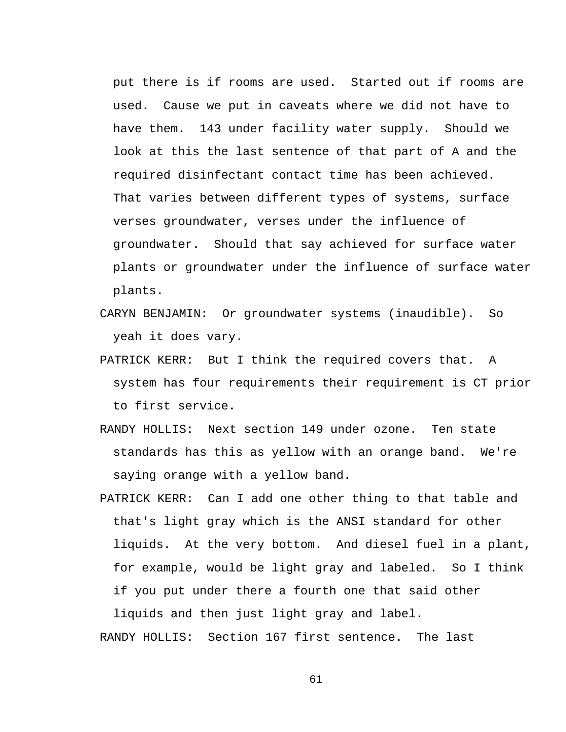put there is if rooms are used. Started out if rooms are used. Cause we put in caveats where we did not have to have them. 143 under facility water supply. Should we look at this the last sentence of that part of A and the required disinfectant contact time has been achieved. That varies between different types of systems, surface verses groundwater, verses under the influence of groundwater. Should that say achieved for surface water plants or groundwater under the influence of surface water plants.

- CARYN BENJAMIN: Or groundwater systems (inaudible). So yeah it does vary.
- PATRICK KERR: But I think the required covers that. A system has four requirements their requirement is CT prior to first service.
- RANDY HOLLIS: Next section 149 under ozone. Ten state standards has this as yellow with an orange band. We're saying orange with a yellow band.
- PATRICK KERR: Can I add one other thing to that table and that's light gray which is the ANSI standard for other liquids. At the very bottom. And diesel fuel in a plant, for example, would be light gray and labeled. So I think if you put under there a fourth one that said other

liquids and then just light gray and label. RANDY HOLLIS: Section 167 first sentence. The last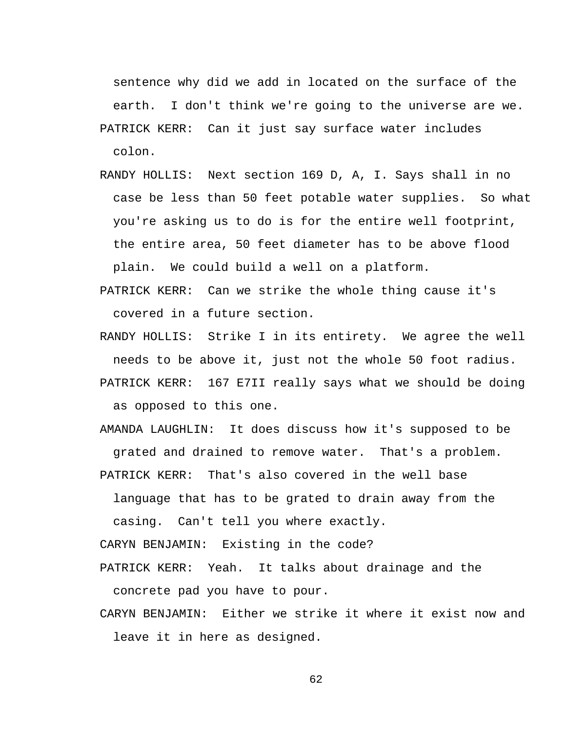sentence why did we add in located on the surface of the earth. I don't think we're going to the universe are we. PATRICK KERR: Can it just say surface water includes colon.

- RANDY HOLLIS: Next section 169 D, A, I. Says shall in no case be less than 50 feet potable water supplies. So what you're asking us to do is for the entire well footprint, the entire area, 50 feet diameter has to be above flood plain. We could build a well on a platform.
- PATRICK KERR: Can we strike the whole thing cause it's covered in a future section.
- RANDY HOLLIS: Strike I in its entirety. We agree the well needs to be above it, just not the whole 50 foot radius. PATRICK KERR: 167 E7II really says what we should be doing as opposed to this one.
- AMANDA LAUGHLIN: It does discuss how it's supposed to be grated and drained to remove water. That's a problem. PATRICK KERR: That's also covered in the well base

language that has to be grated to drain away from the casing. Can't tell you where exactly.

CARYN BENJAMIN: Existing in the code?

- PATRICK KERR: Yeah. It talks about drainage and the concrete pad you have to pour.
- CARYN BENJAMIN: Either we strike it where it exist now and leave it in here as designed.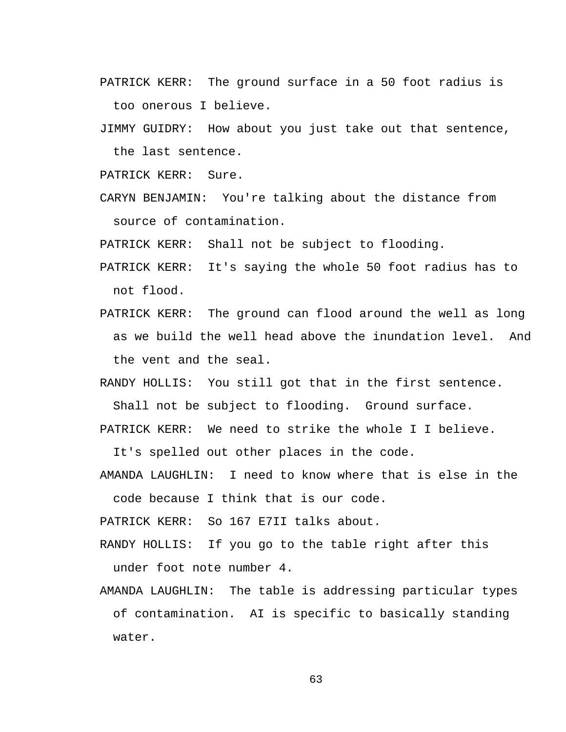- PATRICK KERR: The ground surface in a 50 foot radius is too onerous I believe.
- JIMMY GUIDRY: How about you just take out that sentence, the last sentence.

PATRICK KERR: Sure.

CARYN BENJAMIN: You're talking about the distance from source of contamination.

PATRICK KERR: Shall not be subject to flooding.

- PATRICK KERR: It's saying the whole 50 foot radius has to not flood.
- PATRICK KERR: The ground can flood around the well as long as we build the well head above the inundation level. And the vent and the seal.
- RANDY HOLLIS: You still got that in the first sentence. Shall not be subject to flooding. Ground surface.
- PATRICK KERR: We need to strike the whole I I believe.

It's spelled out other places in the code.

AMANDA LAUGHLIN: I need to know where that is else in the code because I think that is our code.

PATRICK KERR: So 167 E7II talks about.

- RANDY HOLLIS: If you go to the table right after this under foot note number 4.
- AMANDA LAUGHLIN: The table is addressing particular types of contamination. AI is specific to basically standing water.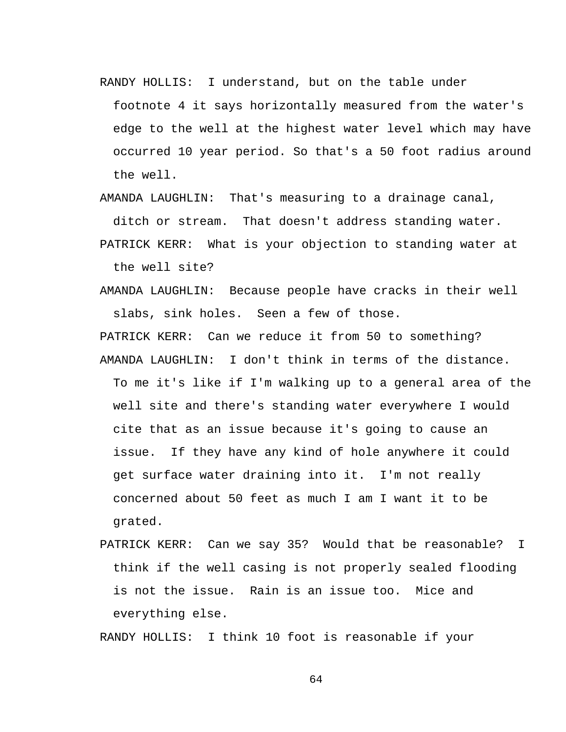RANDY HOLLIS: I understand, but on the table under

footnote 4 it says horizontally measured from the water's edge to the well at the highest water level which may have occurred 10 year period. So that's a 50 foot radius around the well.

AMANDA LAUGHLIN: That's measuring to a drainage canal,

ditch or stream. That doesn't address standing water.

PATRICK KERR: What is your objection to standing water at the well site?

AMANDA LAUGHLIN: Because people have cracks in their well slabs, sink holes. Seen a few of those.

PATRICK KERR: Can we reduce it from 50 to something? AMANDA LAUGHLIN: I don't think in terms of the distance. To me it's like if I'm walking up to a general area of the well site and there's standing water everywhere I would cite that as an issue because it's going to cause an issue. If they have any kind of hole anywhere it could get surface water draining into it. I'm not really concerned about 50 feet as much I am I want it to be grated.

PATRICK KERR: Can we say 35? Would that be reasonable? I think if the well casing is not properly sealed flooding is not the issue. Rain is an issue too. Mice and everything else.

RANDY HOLLIS: I think 10 foot is reasonable if your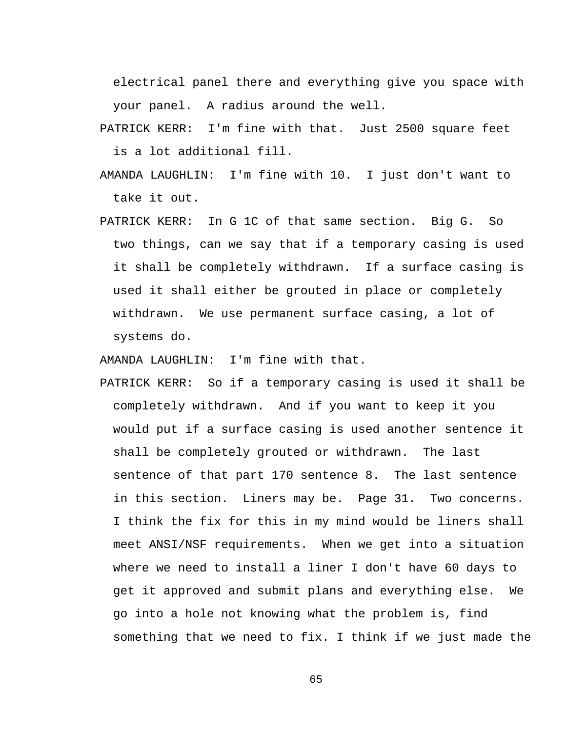electrical panel there and everything give you space with your panel. A radius around the well.

- PATRICK KERR: I'm fine with that. Just 2500 square feet is a lot additional fill.
- AMANDA LAUGHLIN: I'm fine with 10. I just don't want to take it out.
- PATRICK KERR: In G 1C of that same section. Big G. So two things, can we say that if a temporary casing is used it shall be completely withdrawn. If a surface casing is used it shall either be grouted in place or completely withdrawn. We use permanent surface casing, a lot of systems do.

AMANDA LAUGHLIN: I'm fine with that.

PATRICK KERR: So if a temporary casing is used it shall be completely withdrawn. And if you want to keep it you would put if a surface casing is used another sentence it shall be completely grouted or withdrawn. The last sentence of that part 170 sentence 8. The last sentence in this section. Liners may be. Page 31. Two concerns. I think the fix for this in my mind would be liners shall meet ANSI/NSF requirements. When we get into a situation where we need to install a liner I don't have 60 days to get it approved and submit plans and everything else. We go into a hole not knowing what the problem is, find something that we need to fix. I think if we just made the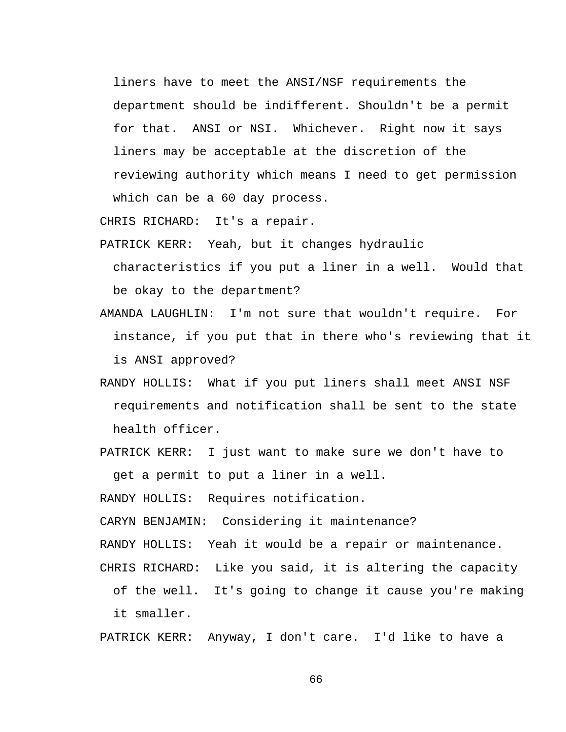liners have to meet the ANSI/NSF requirements the department should be indifferent. Shouldn't be a permit for that. ANSI or NSI. Whichever. Right now it says liners may be acceptable at the discretion of the reviewing authority which means I need to get permission which can be a 60 day process.

CHRIS RICHARD: It's a repair.

PATRICK KERR: Yeah, but it changes hydraulic

characteristics if you put a liner in a well. Would that be okay to the department?

- AMANDA LAUGHLIN: I'm not sure that wouldn't require. For instance, if you put that in there who's reviewing that it is ANSI approved?
- RANDY HOLLIS: What if you put liners shall meet ANSI NSF requirements and notification shall be sent to the state health officer.
- PATRICK KERR: I just want to make sure we don't have to get a permit to put a liner in a well.

RANDY HOLLIS: Requires notification.

CARYN BENJAMIN: Considering it maintenance?

RANDY HOLLIS: Yeah it would be a repair or maintenance.

CHRIS RICHARD: Like you said, it is altering the capacity

of the well. It's going to change it cause you're making it smaller.

PATRICK KERR: Anyway, I don't care. I'd like to have a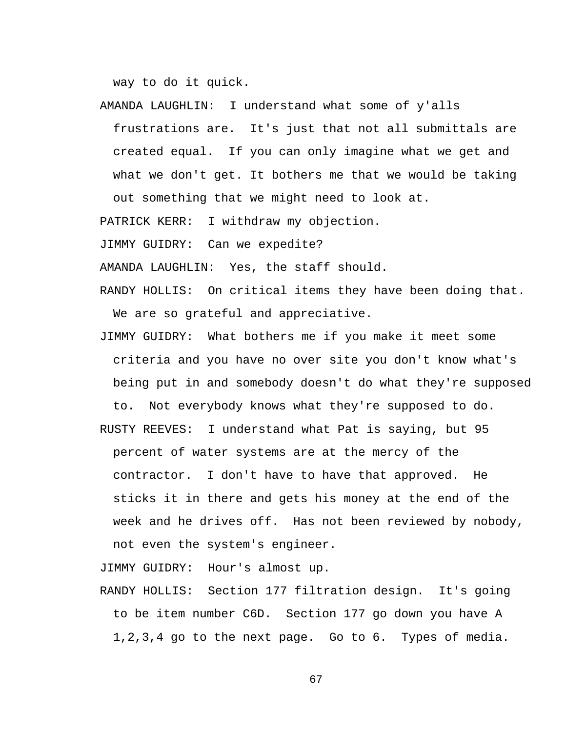way to do it quick.

frustrations are. It's just that not all submittals are created equal. If you can only imagine what we get and what we don't get. It bothers me that we would be taking out something that we might need to look at.

AMANDA LAUGHLIN: I understand what some of y'alls

PATRICK KERR: I withdraw my objection.

JIMMY GUIDRY: Can we expedite?

AMANDA LAUGHLIN: Yes, the staff should.

- RANDY HOLLIS: On critical items they have been doing that. We are so grateful and appreciative.
- JIMMY GUIDRY: What bothers me if you make it meet some criteria and you have no over site you don't know what's being put in and somebody doesn't do what they're supposed to. Not everybody knows what they're supposed to do.
- RUSTY REEVES: I understand what Pat is saying, but 95 percent of water systems are at the mercy of the contractor. I don't have to have that approved. He sticks it in there and gets his money at the end of the week and he drives off. Has not been reviewed by nobody, not even the system's engineer.

JIMMY GUIDRY: Hour's almost up.

RANDY HOLLIS: Section 177 filtration design. It's going to be item number C6D. Section 177 go down you have A 1,2,3,4 go to the next page. Go to 6. Types of media.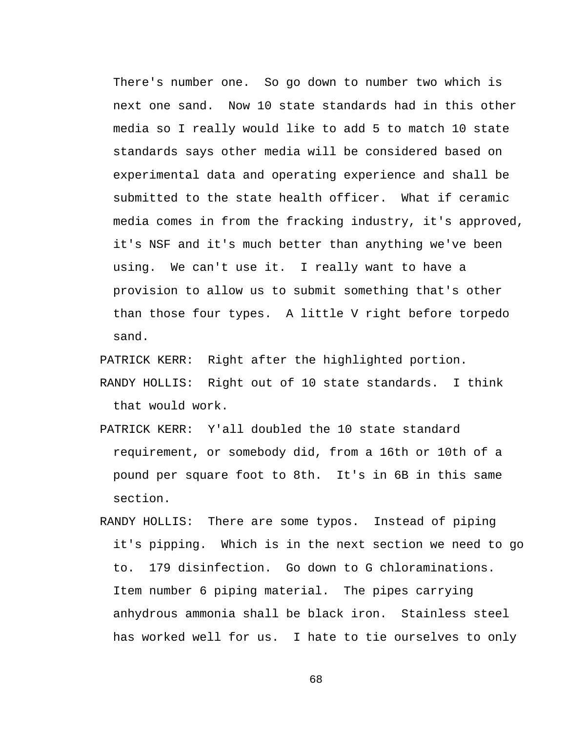There's number one. So go down to number two which is next one sand. Now 10 state standards had in this other media so I really would like to add 5 to match 10 state standards says other media will be considered based on experimental data and operating experience and shall be submitted to the state health officer. What if ceramic media comes in from the fracking industry, it's approved, it's NSF and it's much better than anything we've been using. We can't use it. I really want to have a provision to allow us to submit something that's other than those four types. A little V right before torpedo sand.

PATRICK KERR: Right after the highlighted portion.

- RANDY HOLLIS: Right out of 10 state standards. I think that would work.
- PATRICK KERR: Y'all doubled the 10 state standard requirement, or somebody did, from a 16th or 10th of a pound per square foot to 8th. It's in 6B in this same section.
- RANDY HOLLIS: There are some typos. Instead of piping it's pipping. Which is in the next section we need to go to. 179 disinfection. Go down to G chloraminations. Item number 6 piping material. The pipes carrying anhydrous ammonia shall be black iron. Stainless steel has worked well for us. I hate to tie ourselves to only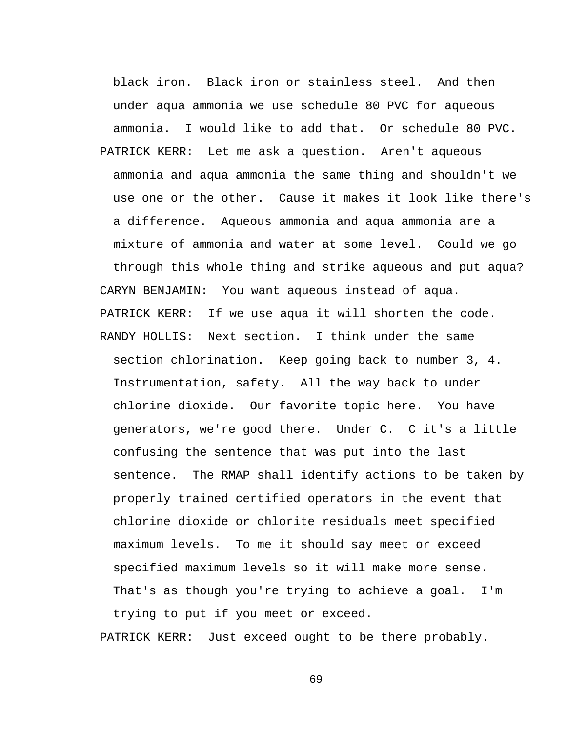black iron. Black iron or stainless steel. And then under aqua ammonia we use schedule 80 PVC for aqueous ammonia. I would like to add that. Or schedule 80 PVC.

PATRICK KERR: Let me ask a question. Aren't aqueous ammonia and aqua ammonia the same thing and shouldn't we use one or the other. Cause it makes it look like there's a difference. Aqueous ammonia and aqua ammonia are a mixture of ammonia and water at some level. Could we go through this whole thing and strike aqueous and put aqua? CARYN BENJAMIN: You want aqueous instead of aqua. PATRICK KERR: If we use aqua it will shorten the code. RANDY HOLLIS: Next section. I think under the same section chlorination. Keep going back to number 3, 4. Instrumentation, safety. All the way back to under chlorine dioxide. Our favorite topic here. You have generators, we're good there. Under C. C it's a little confusing the sentence that was put into the last sentence. The RMAP shall identify actions to be taken by properly trained certified operators in the event that chlorine dioxide or chlorite residuals meet specified maximum levels. To me it should say meet or exceed specified maximum levels so it will make more sense. That's as though you're trying to achieve a goal. I'm trying to put if you meet or exceed.

PATRICK KERR: Just exceed ought to be there probably.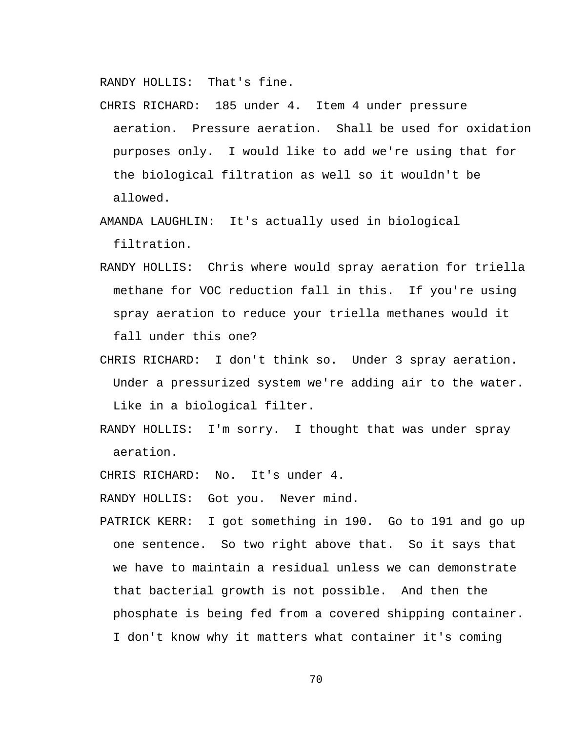RANDY HOLLIS: That's fine.

- CHRIS RICHARD: 185 under 4. Item 4 under pressure aeration. Pressure aeration. Shall be used for oxidation purposes only. I would like to add we're using that for the biological filtration as well so it wouldn't be allowed.
- AMANDA LAUGHLIN: It's actually used in biological filtration.
- RANDY HOLLIS: Chris where would spray aeration for triella methane for VOC reduction fall in this. If you're using spray aeration to reduce your triella methanes would it fall under this one?
- CHRIS RICHARD: I don't think so. Under 3 spray aeration. Under a pressurized system we're adding air to the water. Like in a biological filter.
- RANDY HOLLIS: I'm sorry. I thought that was under spray aeration.
- CHRIS RICHARD: No. It's under 4.

RANDY HOLLIS: Got you. Never mind.

PATRICK KERR: I got something in 190. Go to 191 and go up one sentence. So two right above that. So it says that we have to maintain a residual unless we can demonstrate that bacterial growth is not possible. And then the phosphate is being fed from a covered shipping container. I don't know why it matters what container it's coming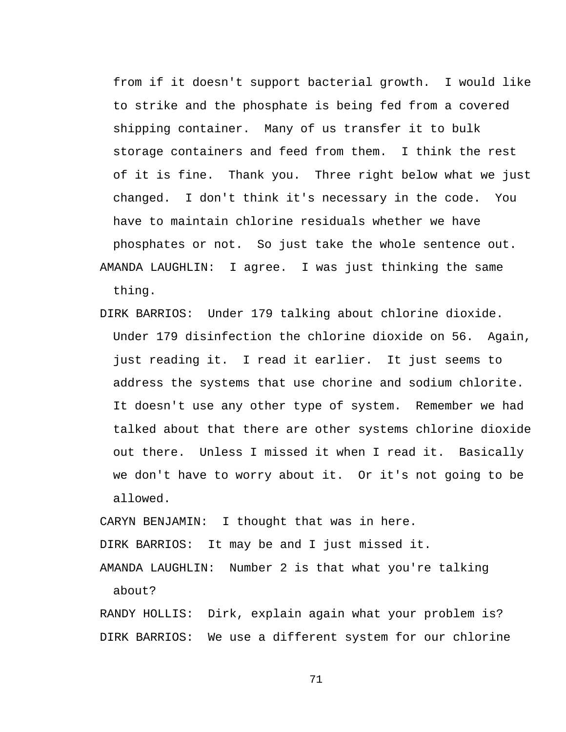from if it doesn't support bacterial growth. I would like to strike and the phosphate is being fed from a covered shipping container. Many of us transfer it to bulk storage containers and feed from them. I think the rest of it is fine. Thank you. Three right below what we just changed. I don't think it's necessary in the code. You have to maintain chlorine residuals whether we have phosphates or not. So just take the whole sentence out. AMANDA LAUGHLIN: I agree. I was just thinking the same thing.

DIRK BARRIOS: Under 179 talking about chlorine dioxide. Under 179 disinfection the chlorine dioxide on 56. Again, just reading it. I read it earlier. It just seems to address the systems that use chorine and sodium chlorite. It doesn't use any other type of system. Remember we had talked about that there are other systems chlorine dioxide out there. Unless I missed it when I read it. Basically we don't have to worry about it. Or it's not going to be allowed.

CARYN BENJAMIN: I thought that was in here. DIRK BARRIOS: It may be and I just missed it.

AMANDA LAUGHLIN: Number 2 is that what you're talking about?

RANDY HOLLIS: Dirk, explain again what your problem is? DIRK BARRIOS: We use a different system for our chlorine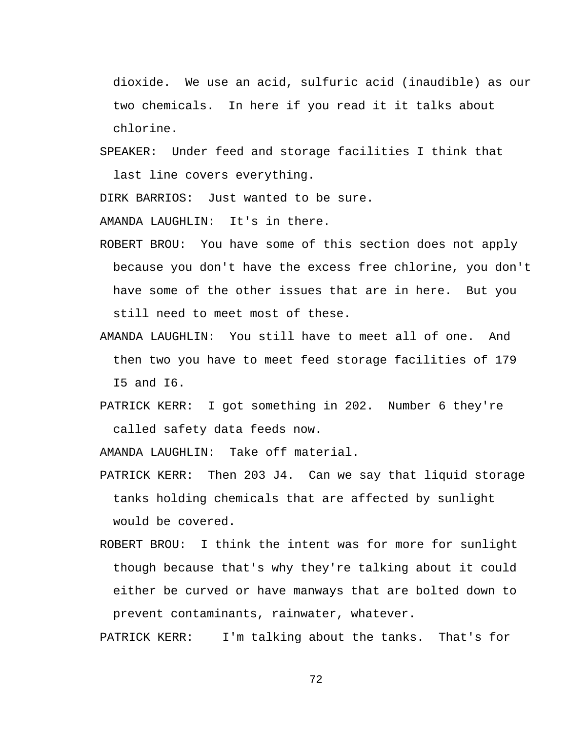dioxide. We use an acid, sulfuric acid (inaudible) as our two chemicals. In here if you read it it talks about chlorine.

SPEAKER: Under feed and storage facilities I think that last line covers everything.

DIRK BARRIOS: Just wanted to be sure.

AMANDA LAUGHLIN: It's in there.

- ROBERT BROU: You have some of this section does not apply because you don't have the excess free chlorine, you don't have some of the other issues that are in here. But you still need to meet most of these.
- AMANDA LAUGHLIN: You still have to meet all of one. And then two you have to meet feed storage facilities of 179 I5 and I6.
- PATRICK KERR: I got something in 202. Number 6 they're called safety data feeds now.

AMANDA LAUGHLIN: Take off material.

- PATRICK KERR: Then 203 J4. Can we say that liquid storage tanks holding chemicals that are affected by sunlight would be covered.
- ROBERT BROU: I think the intent was for more for sunlight though because that's why they're talking about it could either be curved or have manways that are bolted down to prevent contaminants, rainwater, whatever.

PATRICK KERR: I'm talking about the tanks. That's for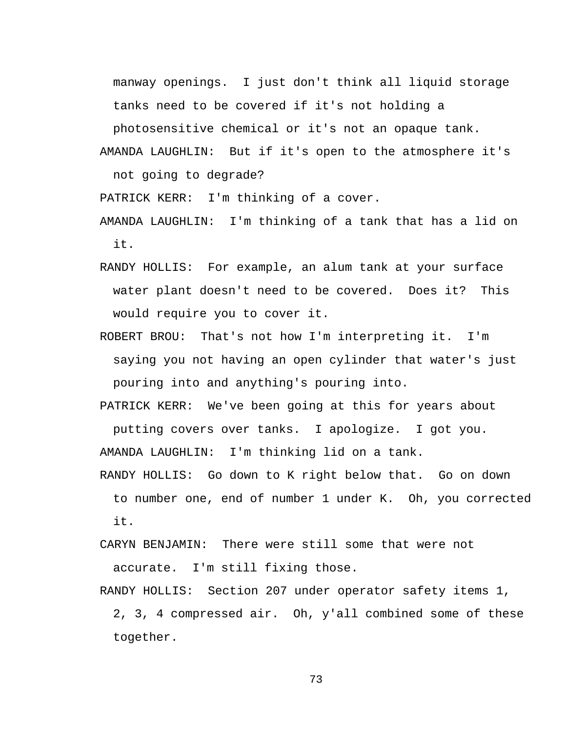manway openings. I just don't think all liquid storage tanks need to be covered if it's not holding a

photosensitive chemical or it's not an opaque tank.

AMANDA LAUGHLIN: But if it's open to the atmosphere it's not going to degrade?

PATRICK KERR: I'm thinking of a cover.

- AMANDA LAUGHLIN: I'm thinking of a tank that has a lid on it.
- RANDY HOLLIS: For example, an alum tank at your surface water plant doesn't need to be covered. Does it? This would require you to cover it.
- ROBERT BROU: That's not how I'm interpreting it. I'm saying you not having an open cylinder that water's just pouring into and anything's pouring into.

PATRICK KERR: We've been going at this for years about

putting covers over tanks. I apologize. I got you. AMANDA LAUGHLIN: I'm thinking lid on a tank.

RANDY HOLLIS: Go down to K right below that. Go on down to number one, end of number 1 under K. Oh, you corrected it.

CARYN BENJAMIN: There were still some that were not accurate. I'm still fixing those.

RANDY HOLLIS: Section 207 under operator safety items 1, 2, 3, 4 compressed air. Oh, y'all combined some of these together.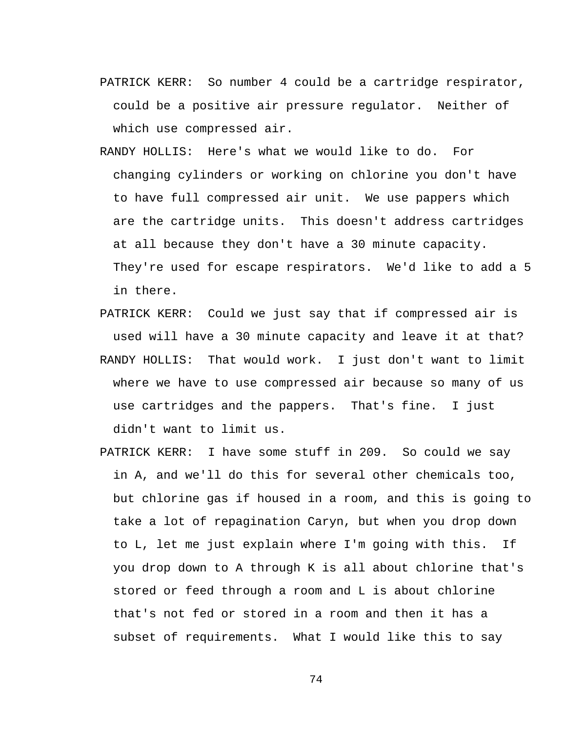- PATRICK KERR: So number 4 could be a cartridge respirator, could be a positive air pressure regulator. Neither of which use compressed air.
- RANDY HOLLIS: Here's what we would like to do. For changing cylinders or working on chlorine you don't have to have full compressed air unit. We use pappers which are the cartridge units. This doesn't address cartridges at all because they don't have a 30 minute capacity. They're used for escape respirators. We'd like to add a 5 in there.
- PATRICK KERR: Could we just say that if compressed air is used will have a 30 minute capacity and leave it at that?
- RANDY HOLLIS: That would work. I just don't want to limit where we have to use compressed air because so many of us use cartridges and the pappers. That's fine. I just didn't want to limit us.
- PATRICK KERR: I have some stuff in 209. So could we say in A, and we'll do this for several other chemicals too, but chlorine gas if housed in a room, and this is going to take a lot of repagination Caryn, but when you drop down to L, let me just explain where I'm going with this. If you drop down to A through K is all about chlorine that's stored or feed through a room and L is about chlorine that's not fed or stored in a room and then it has a subset of requirements. What I would like this to say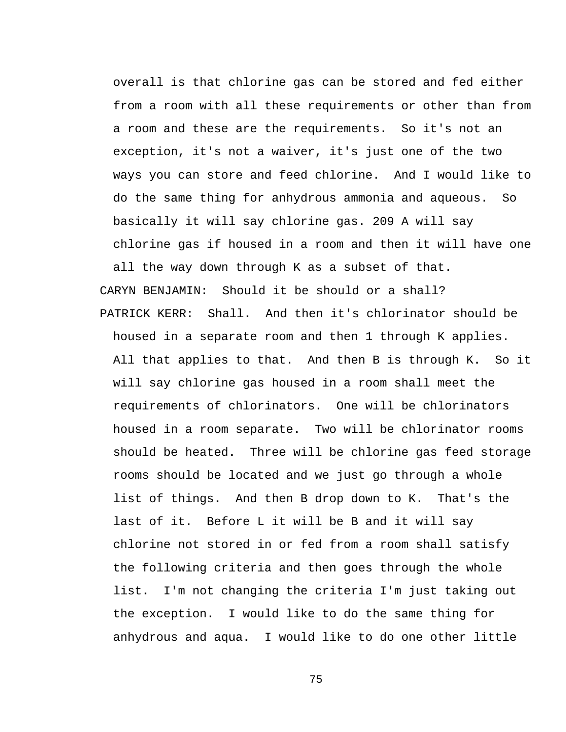overall is that chlorine gas can be stored and fed either from a room with all these requirements or other than from a room and these are the requirements. So it's not an exception, it's not a waiver, it's just one of the two ways you can store and feed chlorine. And I would like to do the same thing for anhydrous ammonia and aqueous. So basically it will say chlorine gas. 209 A will say chlorine gas if housed in a room and then it will have one all the way down through K as a subset of that. CARYN BENJAMIN: Should it be should or a shall? PATRICK KERR: Shall. And then it's chlorinator should be housed in a separate room and then 1 through K applies. All that applies to that. And then B is through K. So it will say chlorine gas housed in a room shall meet the requirements of chlorinators. One will be chlorinators housed in a room separate. Two will be chlorinator rooms should be heated. Three will be chlorine gas feed storage rooms should be located and we just go through a whole list of things. And then B drop down to K. That's the last of it. Before L it will be B and it will say chlorine not stored in or fed from a room shall satisfy the following criteria and then goes through the whole list. I'm not changing the criteria I'm just taking out the exception. I would like to do the same thing for anhydrous and aqua. I would like to do one other little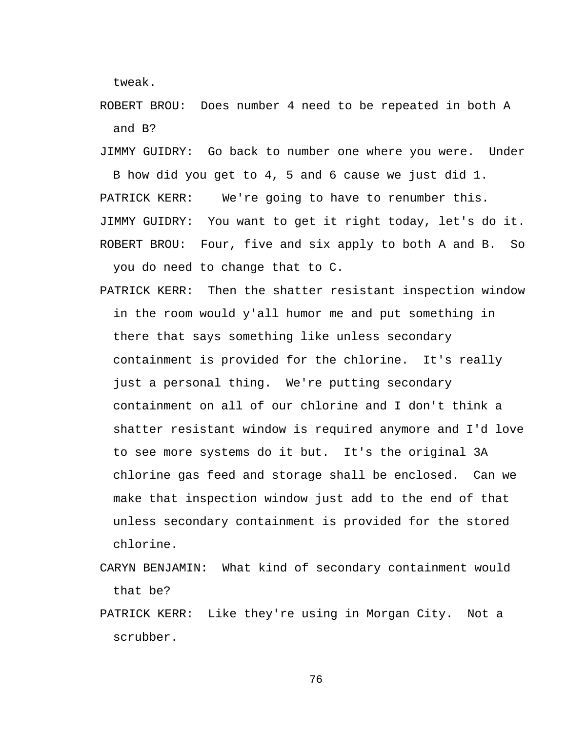tweak.

ROBERT BROU: Does number 4 need to be repeated in both A and B?

JIMMY GUIDRY: Go back to number one where you were. Under B how did you get to 4, 5 and 6 cause we just did 1. PATRICK KERR: We're going to have to renumber this. JIMMY GUIDRY: You want to get it right today, let's do it. ROBERT BROU: Four, five and six apply to both A and B. So

you do need to change that to C.

PATRICK KERR: Then the shatter resistant inspection window in the room would y'all humor me and put something in there that says something like unless secondary containment is provided for the chlorine. It's really just a personal thing. We're putting secondary containment on all of our chlorine and I don't think a shatter resistant window is required anymore and I'd love to see more systems do it but. It's the original 3A chlorine gas feed and storage shall be enclosed. Can we make that inspection window just add to the end of that unless secondary containment is provided for the stored chlorine.

- CARYN BENJAMIN: What kind of secondary containment would that be?
- PATRICK KERR: Like they're using in Morgan City. Not a scrubber.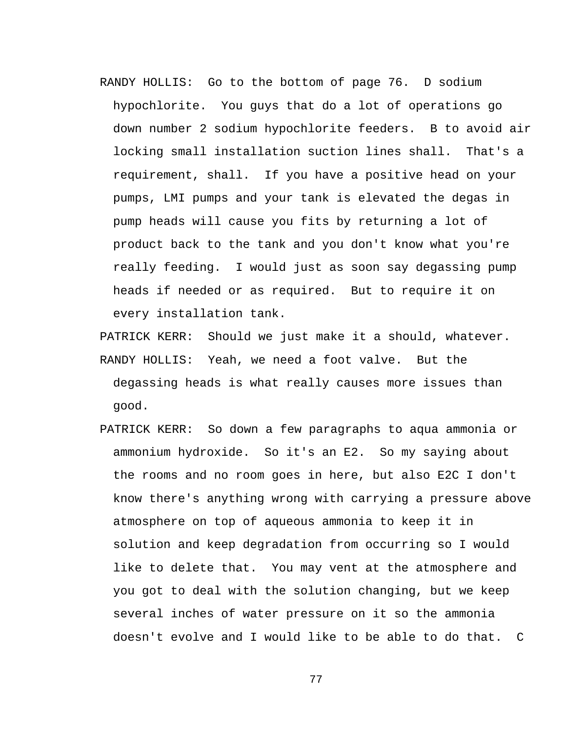- RANDY HOLLIS: Go to the bottom of page 76. D sodium hypochlorite. You guys that do a lot of operations go down number 2 sodium hypochlorite feeders. B to avoid air locking small installation suction lines shall. That's a requirement, shall. If you have a positive head on your pumps, LMI pumps and your tank is elevated the degas in pump heads will cause you fits by returning a lot of product back to the tank and you don't know what you're really feeding. I would just as soon say degassing pump heads if needed or as required. But to require it on every installation tank.
- PATRICK KERR: Should we just make it a should, whatever. RANDY HOLLIS: Yeah, we need a foot valve. But the degassing heads is what really causes more issues than good.
- PATRICK KERR: So down a few paragraphs to aqua ammonia or ammonium hydroxide. So it's an E2. So my saying about the rooms and no room goes in here, but also E2C I don't know there's anything wrong with carrying a pressure above atmosphere on top of aqueous ammonia to keep it in solution and keep degradation from occurring so I would like to delete that. You may vent at the atmosphere and you got to deal with the solution changing, but we keep several inches of water pressure on it so the ammonia doesn't evolve and I would like to be able to do that. C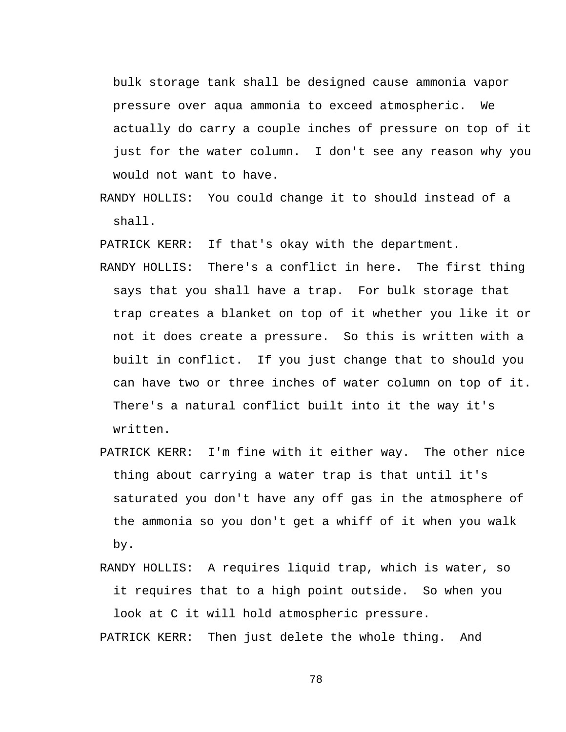bulk storage tank shall be designed cause ammonia vapor pressure over aqua ammonia to exceed atmospheric. We actually do carry a couple inches of pressure on top of it just for the water column. I don't see any reason why you would not want to have.

RANDY HOLLIS: You could change it to should instead of a shall.

PATRICK KERR: If that's okay with the department.

- RANDY HOLLIS: There's a conflict in here. The first thing says that you shall have a trap. For bulk storage that trap creates a blanket on top of it whether you like it or not it does create a pressure. So this is written with a built in conflict. If you just change that to should you can have two or three inches of water column on top of it. There's a natural conflict built into it the way it's written.
- PATRICK KERR: I'm fine with it either way. The other nice thing about carrying a water trap is that until it's saturated you don't have any off gas in the atmosphere of the ammonia so you don't get a whiff of it when you walk by.
- RANDY HOLLIS: A requires liquid trap, which is water, so it requires that to a high point outside. So when you look at C it will hold atmospheric pressure.

PATRICK KERR: Then just delete the whole thing. And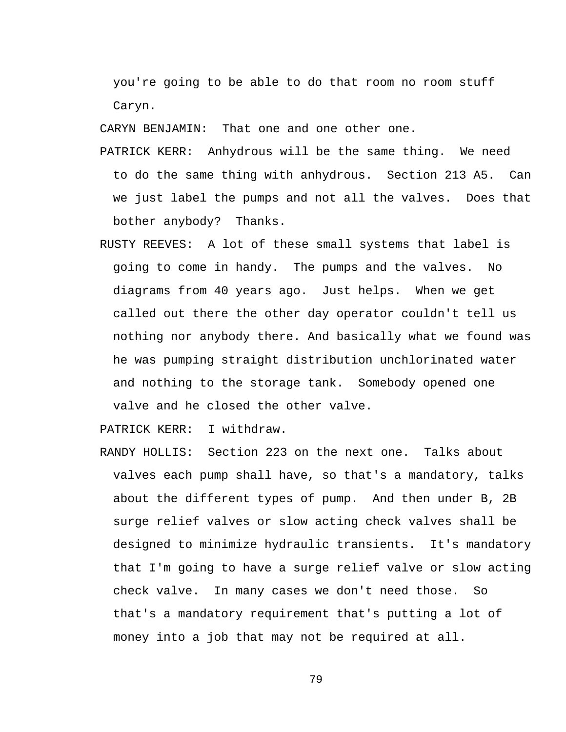you're going to be able to do that room no room stuff Caryn.

CARYN BENJAMIN: That one and one other one.

- PATRICK KERR: Anhydrous will be the same thing. We need to do the same thing with anhydrous. Section 213 A5. Can we just label the pumps and not all the valves. Does that bother anybody? Thanks.
- RUSTY REEVES: A lot of these small systems that label is going to come in handy. The pumps and the valves. No diagrams from 40 years ago. Just helps. When we get called out there the other day operator couldn't tell us nothing nor anybody there. And basically what we found was he was pumping straight distribution unchlorinated water and nothing to the storage tank. Somebody opened one valve and he closed the other valve.

PATRICK KERR: I withdraw.

RANDY HOLLIS: Section 223 on the next one. Talks about valves each pump shall have, so that's a mandatory, talks about the different types of pump. And then under B, 2B surge relief valves or slow acting check valves shall be designed to minimize hydraulic transients. It's mandatory that I'm going to have a surge relief valve or slow acting check valve. In many cases we don't need those. So that's a mandatory requirement that's putting a lot of money into a job that may not be required at all.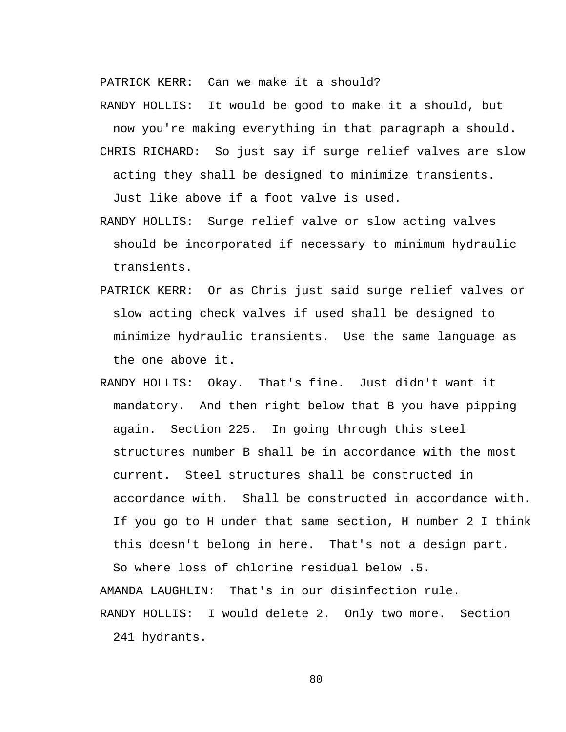PATRICK KERR: Can we make it a should?

RANDY HOLLIS: It would be good to make it a should, but now you're making everything in that paragraph a should.

- CHRIS RICHARD: So just say if surge relief valves are slow acting they shall be designed to minimize transients. Just like above if a foot valve is used.
- RANDY HOLLIS: Surge relief valve or slow acting valves should be incorporated if necessary to minimum hydraulic transients.
- PATRICK KERR: Or as Chris just said surge relief valves or slow acting check valves if used shall be designed to minimize hydraulic transients. Use the same language as the one above it.
- RANDY HOLLIS: Okay. That's fine. Just didn't want it mandatory. And then right below that B you have pipping again. Section 225. In going through this steel structures number B shall be in accordance with the most current. Steel structures shall be constructed in accordance with. Shall be constructed in accordance with. If you go to H under that same section, H number 2 I think this doesn't belong in here. That's not a design part.

So where loss of chlorine residual below .5.

AMANDA LAUGHLIN: That's in our disinfection rule.

RANDY HOLLIS: I would delete 2. Only two more. Section

241 hydrants.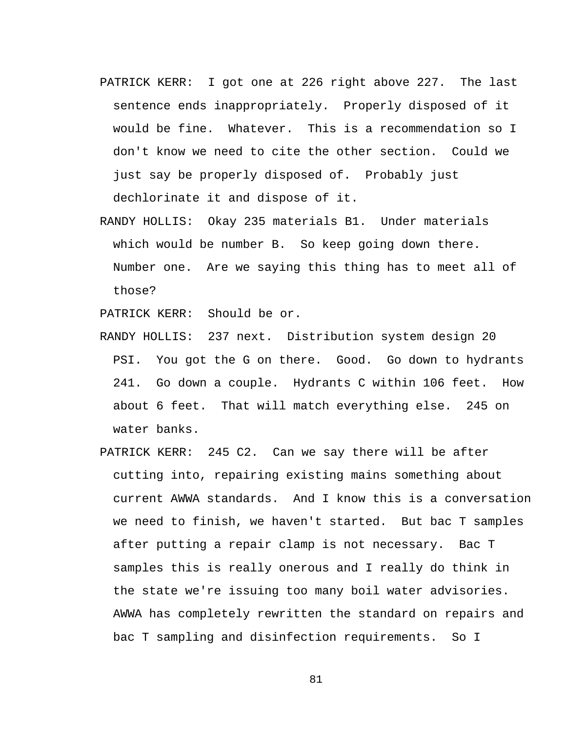- PATRICK KERR: I got one at 226 right above 227. The last sentence ends inappropriately. Properly disposed of it would be fine. Whatever. This is a recommendation so I don't know we need to cite the other section. Could we just say be properly disposed of. Probably just dechlorinate it and dispose of it.
- RANDY HOLLIS: Okay 235 materials B1. Under materials which would be number B. So keep going down there. Number one. Are we saying this thing has to meet all of those?

PATRICK KERR: Should be or.

- RANDY HOLLIS: 237 next. Distribution system design 20 PSI. You got the G on there. Good. Go down to hydrants 241. Go down a couple. Hydrants C within 106 feet. How about 6 feet. That will match everything else. 245 on water banks.
- PATRICK KERR: 245 C2. Can we say there will be after cutting into, repairing existing mains something about current AWWA standards. And I know this is a conversation we need to finish, we haven't started. But bac T samples after putting a repair clamp is not necessary. Bac T samples this is really onerous and I really do think in the state we're issuing too many boil water advisories. AWWA has completely rewritten the standard on repairs and bac T sampling and disinfection requirements. So I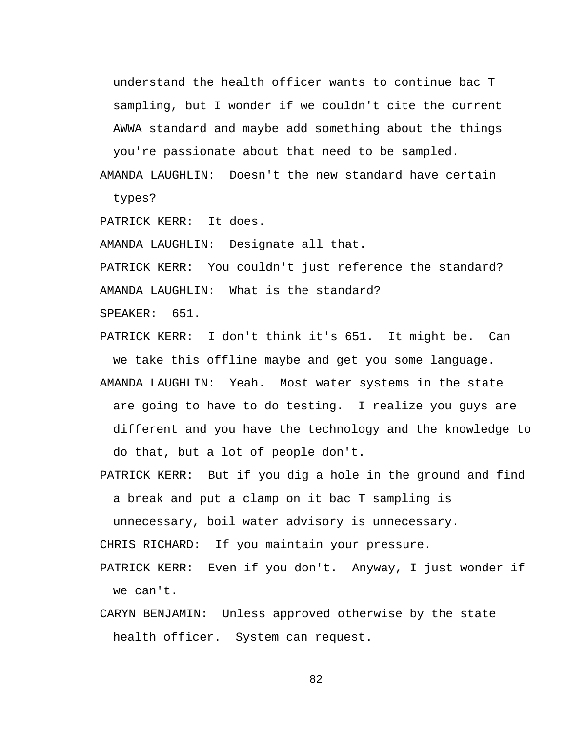understand the health officer wants to continue bac T sampling, but I wonder if we couldn't cite the current AWWA standard and maybe add something about the things

you're passionate about that need to be sampled. AMANDA LAUGHLIN: Doesn't the new standard have certain

types?

PATRICK KERR: It does.

AMANDA LAUGHLIN: Designate all that.

PATRICK KERR: You couldn't just reference the standard? AMANDA LAUGHLIN: What is the standard?

SPEAKER: 651.

PATRICK KERR: I don't think it's 651. It might be. Can we take this offline maybe and get you some language. AMANDA LAUGHLIN: Yeah. Most water systems in the state are going to have to do testing. I realize you guys are different and you have the technology and the knowledge to do that, but a lot of people don't.

PATRICK KERR: But if you dig a hole in the ground and find

a break and put a clamp on it bac T sampling is

unnecessary, boil water advisory is unnecessary.

CHRIS RICHARD: If you maintain your pressure.

PATRICK KERR: Even if you don't. Anyway, I just wonder if we can't.

CARYN BENJAMIN: Unless approved otherwise by the state health officer. System can request.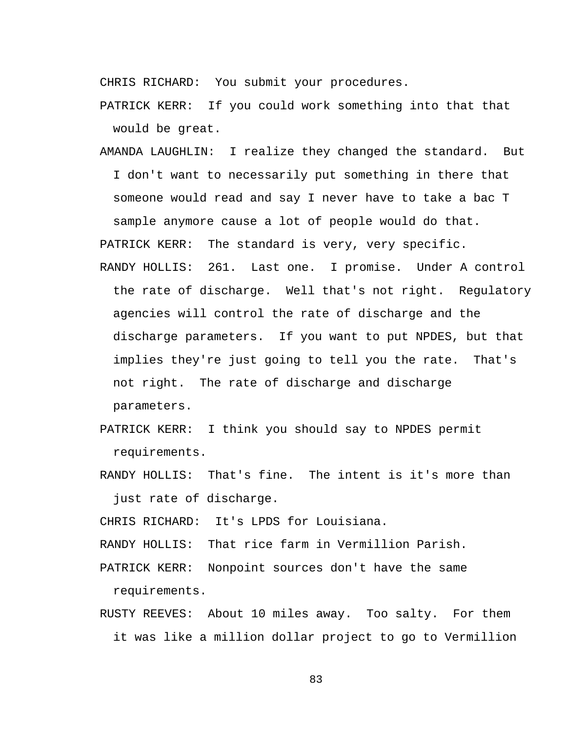CHRIS RICHARD: You submit your procedures.

PATRICK KERR: If you could work something into that that would be great.

AMANDA LAUGHLIN: I realize they changed the standard. But I don't want to necessarily put something in there that someone would read and say I never have to take a bac T sample anymore cause a lot of people would do that.

PATRICK KERR: The standard is very, very specific.

- RANDY HOLLIS: 261. Last one. I promise. Under A control the rate of discharge. Well that's not right. Regulatory agencies will control the rate of discharge and the discharge parameters. If you want to put NPDES, but that implies they're just going to tell you the rate. That's not right. The rate of discharge and discharge parameters.
- PATRICK KERR: I think you should say to NPDES permit requirements.
- RANDY HOLLIS: That's fine. The intent is it's more than just rate of discharge.

CHRIS RICHARD: It's LPDS for Louisiana.

RANDY HOLLIS: That rice farm in Vermillion Parish.

PATRICK KERR: Nonpoint sources don't have the same requirements.

RUSTY REEVES: About 10 miles away. Too salty. For them it was like a million dollar project to go to Vermillion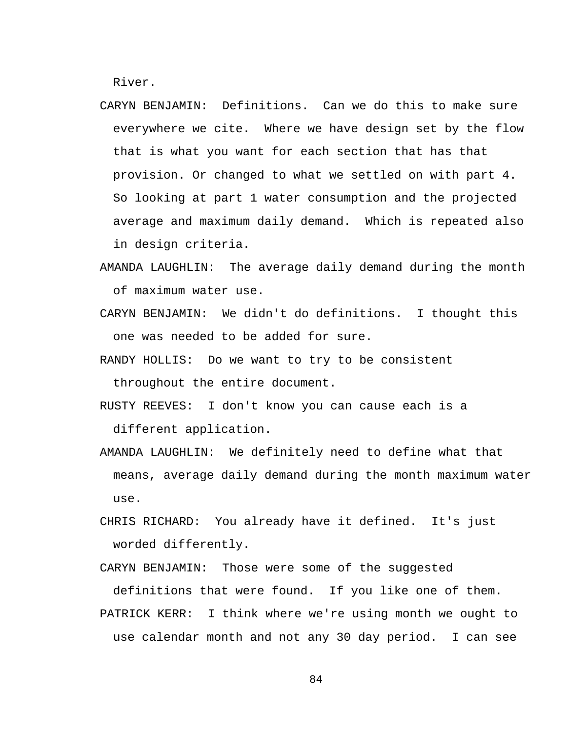River.

- CARYN BENJAMIN: Definitions. Can we do this to make sure everywhere we cite. Where we have design set by the flow that is what you want for each section that has that provision. Or changed to what we settled on with part 4. So looking at part 1 water consumption and the projected average and maximum daily demand. Which is repeated also in design criteria.
- AMANDA LAUGHLIN: The average daily demand during the month of maximum water use.
- CARYN BENJAMIN: We didn't do definitions. I thought this one was needed to be added for sure.
- RANDY HOLLIS: Do we want to try to be consistent throughout the entire document.
- RUSTY REEVES: I don't know you can cause each is a different application.
- AMANDA LAUGHLIN: We definitely need to define what that means, average daily demand during the month maximum water use.
- CHRIS RICHARD: You already have it defined. It's just worded differently.

CARYN BENJAMIN: Those were some of the suggested definitions that were found. If you like one of them. PATRICK KERR: I think where we're using month we ought to use calendar month and not any 30 day period. I can see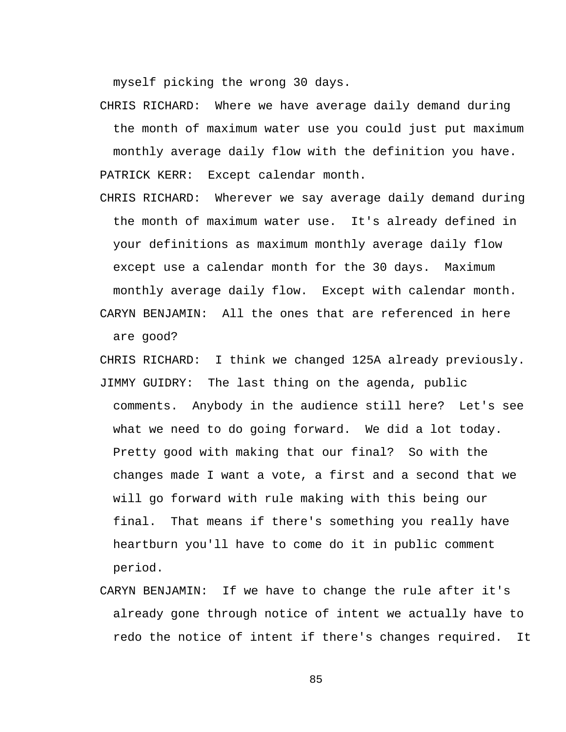myself picking the wrong 30 days.

- CHRIS RICHARD: Where we have average daily demand during the month of maximum water use you could just put maximum monthly average daily flow with the definition you have. PATRICK KERR: Except calendar month.
- CHRIS RICHARD: Wherever we say average daily demand during the month of maximum water use. It's already defined in your definitions as maximum monthly average daily flow except use a calendar month for the 30 days. Maximum monthly average daily flow. Except with calendar month. CARYN BENJAMIN: All the ones that are referenced in here

are good?

- CHRIS RICHARD: I think we changed 125A already previously. JIMMY GUIDRY: The last thing on the agenda, public comments. Anybody in the audience still here? Let's see what we need to do going forward. We did a lot today. Pretty good with making that our final? So with the changes made I want a vote, a first and a second that we will go forward with rule making with this being our final. That means if there's something you really have heartburn you'll have to come do it in public comment period.
- CARYN BENJAMIN: If we have to change the rule after it's already gone through notice of intent we actually have to redo the notice of intent if there's changes required. It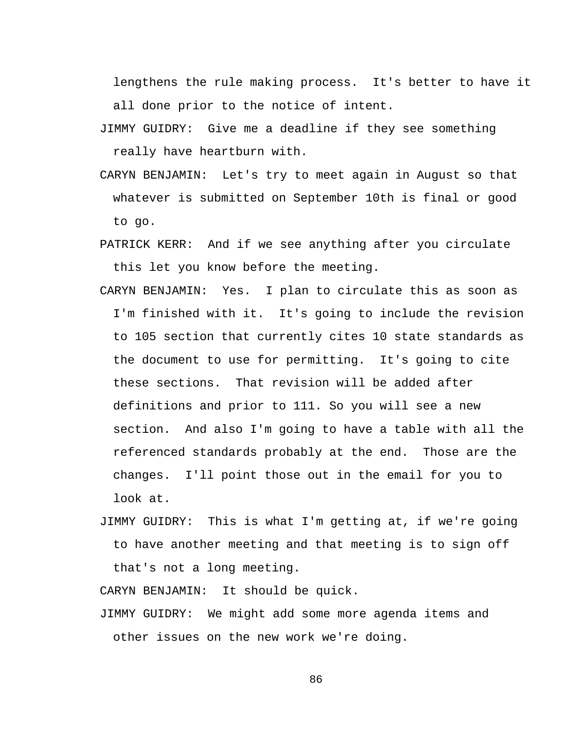lengthens the rule making process. It's better to have it all done prior to the notice of intent.

- JIMMY GUIDRY: Give me a deadline if they see something really have heartburn with.
- CARYN BENJAMIN: Let's try to meet again in August so that whatever is submitted on September 10th is final or good to go.
- PATRICK KERR: And if we see anything after you circulate this let you know before the meeting.
- CARYN BENJAMIN: Yes. I plan to circulate this as soon as I'm finished with it. It's going to include the revision to 105 section that currently cites 10 state standards as the document to use for permitting. It's going to cite these sections. That revision will be added after definitions and prior to 111. So you will see a new section. And also I'm going to have a table with all the referenced standards probably at the end. Those are the changes. I'll point those out in the email for you to look at.
- JIMMY GUIDRY: This is what I'm getting at, if we're going to have another meeting and that meeting is to sign off that's not a long meeting.

CARYN BENJAMIN: It should be quick.

JIMMY GUIDRY: We might add some more agenda items and other issues on the new work we're doing.